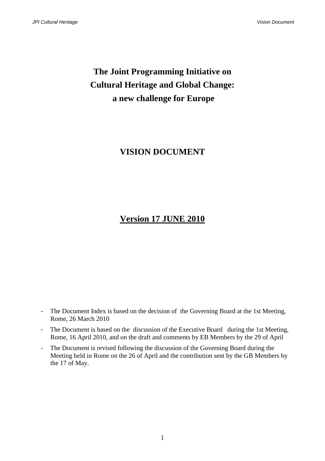# **The Joint Programming Initiative on Cultural Heritage and Global Change: a new challenge for Europe**

# **VISION DOCUMENT**

# **Version 17 JUNE 2010**

- The Document Index is based on the decision of the Governing Board at the 1st Meeting, Rome, 26 March 2010
- The Document is based on the discussion of the Executive Board during the 1st Meeting, Rome, 16 April 2010, and on the draft and comments by EB Members by the 29 of April
- The Document is revised following the discussion of the Governing Board during the Meeting held in Rome on the 26 of April and the contribution sent by the GB Members by the 17 of May.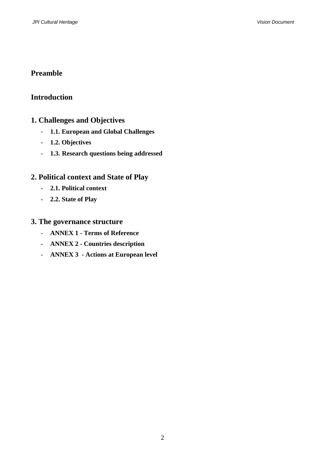## **Preamble**

### **Introduction**

### **1. Challenges and Objectives**

- **1.1. European and Global Challenges**
- **1.2. Objectives**
- **1.3. Research questions being addressed**

## **2. Political context and State of Play**

- **2.1. Political context**
- **2.2. State of Play**

### **3. The governance structure**

- **ANNEX 1 Terms of Reference**
- **ANNEX 2 Countries description**
- **ANNEX 3 Actions at European level**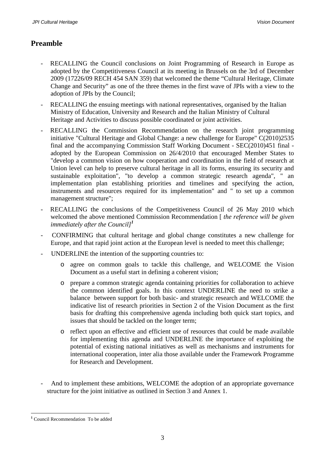# **Preamble**

- RECALLING the Council conclusions on Joint Programming of Research in Europe as adopted by the Competitiveness Council at its meeting in Brussels on the 3rd of December 2009 (17226/09 RECH 454 SAN 359) that welcomed the theme "Cultural Heritage, Climate Change and Security" as one of the three themes in the first wave of JPIs with a view to the adoption of JPIs by the Council;
- RECALLING the ensuing meetings with national representatives, organised by the Italian Ministry of Education, University and Research and the Italian Ministry of Cultural Heritage and Activities to discuss possible coordinated or joint activities.
- RECALLING the Commission Recommendation on the research joint programming initiative "Cultural Heritage and Global Change: a new challenge for Europe" C(2010)2535 final and the accompanying Commission Staff Working Document - SEC(2010)451 final adopted by the European Commission on 26/4/2010 that encouraged Member States to "develop a common vision on how cooperation and coordination in the field of research at Union level can help to preserve cultural heritage in all its forms, ensuring its security and sustainable exploitation", "to develop a common strategic research agenda", " an implementation plan establishing priorities and timelines and specifying the action, instruments and resources required for its implementation" and " to set up a common management structure";
- RECALLING the conclusions of the Competitiveness Council of 26 May 2010 which welcomed the above mentioned Commission Recommendation [ *the reference will be given immediately after the Council]<sup>1</sup>*
- CONFIRMING that cultural heritage and global change constitutes a new challenge for Europe, and that rapid joint action at the European level is needed to meet this challenge;
- UNDERLINE the intention of the supporting countries to:
	- o agree on common goals to tackle this challenge, and WELCOME the Vision Document as a useful start in defining a coherent vision;
	- o prepare a common strategic agenda containing priorities for collaboration to achieve the common identified goals. In this context UNDERLINE the need to strike a balance between support for both basic- and strategic research and WELCOME the indicative list of research priorities in Section 2 of the Vision Document as the first basis for drafting this comprehensive agenda including both quick start topics, and issues that should be tackled on the longer term;
	- o reflect upon an effective and efficient use of resources that could be made available for implementing this agenda and UNDERLINE the importance of exploiting the potential of existing national initiatives as well as mechanisms and instruments for international cooperation, inter alia those available under the Framework Programme for Research and Development.
- And to implement these ambitions, WELCOME the adoption of an appropriate governance structure for the joint initiative as outlined in Section 3 and Annex 1.

 $\overline{a}$ **1** Council Recommendation To be added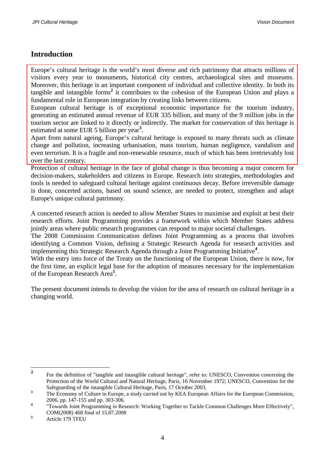# **Introduction**

Europe's cultural heritage is the world's most diverse and rich patrimony that attracts millions of visitors every year to monuments, historical city centres, archaeological sites and museums. Moreover, this heritage is an important component of individual and collective identity. In both its tangible and intangible forms<sup>2</sup> it contributes to the cohesion of the European Union and plays a fundamental role in European integration by creating links between citizens.

European cultural heritage is of exceptional economic importance for the tourism industry, generating an estimated annual revenue of EUR 335 billion, and many of the 9 million jobs in the tourism sector are linked to it directly or indirectly. The market for conservation of this heritage is estimated at some EUR 5 billion per year**<sup>3</sup>** .

Apart from natural ageing, Europe's cultural heritage is exposed to many threats such as climate change and pollution, increasing urbanisation, mass tourism, human negligence, vandalism and even terrorism. It is a fragile and non-renewable resource, much of which has been irretrievably lost over the last century.

Protection of cultural heritage in the face of global change is thus becoming a major concern for decision-makers, stakeholders and citizens in Europe. Research into strategies, methodologies and tools is needed to safeguard cultural heritage against continuous decay. Before irreversible damage is done, concerted actions, based on sound science, are needed to protect, strengthen and adapt Europe's unique cultural patrimony.

A concerted research action is needed to allow Member States to maximise and exploit at best their research efforts. Joint Programming provides a framework within which Member States address jointly areas where public research programmes can respond to major societal challenges.

The 2008 Commission Communication defines Joint Programming as a process that involves identifying a Common Vision, defining a Strategic Research Agenda for research activities and implementing this Strategic Research Agenda through a Joint Programming Initiative**<sup>4</sup>** .

With the entry into force of the Treaty on the functioning of the European Union, there is now, for the first time, an explicit legal base for the adoption of measures necessary for the implementation of the European Research Area**<sup>5</sup>** .

The present document intends to develop the vision for the area of research on cultural heritage in a changing world.

 **2** For the definition of "tangible and intangible cultural heritage", refer to: UNESCO, Convention concerning the Protection of the World Cultural and Natural Heritage, Paris, 16 November 1972; UNESCO, Convention for the Safeguarding of the intangible Cultural Heritage, Paris, 17 October 2003.

**<sup>3</sup>** The Economy of Culture in Europe, a study carried out by KEA European Affairs for the European Commission, 2006, pp. 147-155 and pp. 303-306.

**<sup>4</sup>** "Towards Joint Programming in Research: Working Together to Tackle Common Challenges More Effectively", COM(2008) 468 final of 15.07.2008

**<sup>5</sup>** Article 179 TFEU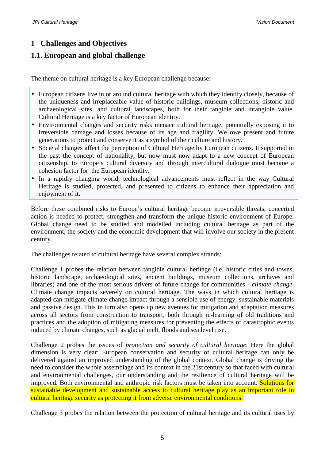# **1 Challenges and Objectives**

# **1.1. European and global challenge**

The theme on cultural heritage is a key European challenge because:

- European citizens live in or around cultural heritage with which they identify closely, because of the uniqueness and irreplaceable value of historic buildings, museum collections, historic and archaeological sites, and cultural landscapes, both for their tangible and intangible value. Cultural Heritage is a key factor of European identity.
- Environmental changes and security risks menace cultural heritage, potentially exposing it to irreversible damage and losses because of its age and fragility. We owe present and future generations to protect and conserve it as a symbol of their culture and history.
- Societal changes affect the perception of Cultural Heritage by European citizens. It supported in the past the concept of nationality, but now must now adapt to a new concept of European citizenship, to Europe's cultural diversity and through intercultural dialogue must become a cohesion factor for the European identity.
- In a rapidly changing world, technological advancements must reflect in the way Cultural Heritage is studied, protected, and presented to citizens to enhance their appreciation and enjoyment of it.

Before these combined risks to Europe's cultural heritage become irreversible threats, concerted action is needed to protect, strengthen and transform the unique historic environment of Europe. Global change need to be studied and modelled including cultural heritage as part of the environment, the society and the economic development that will involve our society in the present century.

The challenges related to cultural heritage have several complex strands:

Challenge 1 probes the relation between tangible cultural heritage (i.e. historic cities and towns, historic landscape, archaeological sites, ancient buildings, museum collections, archives and libraries) and one of the most serious drivers of future change for communities - *climate change*. Climate change impacts severely on cultural heritage. The ways in which cultural heritage is adapted can mitigate climate change impact through a sensible use of energy, sustainable materials and passive design. This in turn also opens up new avenues for mitigation and adaptation measures across all sectors from construction to transport, both through re-learning of old traditions and practices and the adoption of mitigating measures for preventing the effects of catastrophic events induced by climate changes, such as glacial melt, floods and sea level rise.

Challenge 2 probes the issues of *protection and security of cultural heritage*. Here the global dimension is very clear: European conservation and security of cultural heritage can only be delivered against an improved understanding of the global context. Global change is driving the need to consider the whole assemblage and its context in the 21st century so that faced with cultural and environmental challenges, our understanding and the resilience of cultural heritage will be improved. Both environmental and anthropic risk factors must be taken into account. Solutions for sustainable development and sustainable access to cultural heritage play as an important role in cultural heritage security as protecting it from adverse environmental conditions.

Challenge 3 probes the relation between the protection of cultural heritage and its cultural uses by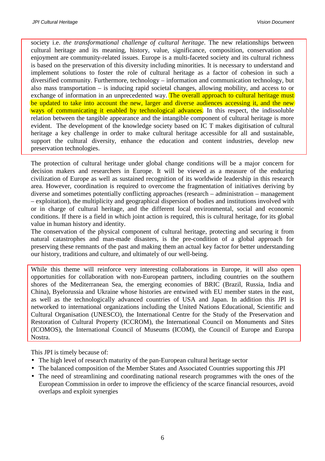society i.e. *the transformational challenge of cultural heritage*. The new relationships between cultural heritage and its meaning, history, value, significance, composition, conservation and enjoyment are community-related issues. Europe is a multi-faceted society and its cultural richness is based on the preservation of this diversity including minorities. It is necessary to understand and implement solutions to foster the role of cultural heritage as a factor of cohesion in such a diversified community. Furthermore, technology – information and communication technology, but also mass transportation – is inducing rapid societal changes, allowing mobility, and access to or exchange of information in an unprecedented way. The overall approach to cultural heritage must be updated to take into account the new, larger and diverse audiences accessing it, and the new ways of communicating it enabled by technological advances. In this respect, the indissoluble relation between the tangible appearance and the intangible component of cultural heritage is more evident. The development of the knowledge society based on IC T makes digitisation of cultural heritage a key challenge in order to make cultural heritage accessible for all and sustainable, support the cultural diversity, enhance the education and content industries, develop new preservation technologies.

The protection of cultural heritage under global change conditions will be a major concern for decision makers and researchers in Europe. It will be viewed as a measure of the enduring civilization of Europe as well as sustained recognition of its worldwide leadership in this research area. However, coordination is required to overcome the fragmentation of initiatives deriving by diverse and sometimes potentially conflicting approaches (research – administration – management – exploitation), the multiplicity and geographical dispersion of bodies and institutions involved with or in charge of cultural heritage, and the different local environmental, social and economic conditions. If there is a field in which joint action is required, this is cultural heritage, for its global value in human history and identity.

The conservation of the physical component of cultural heritage, protecting and securing it from natural catastrophes and man-made disasters, is the pre-condition of a global approach for preserving these remnants of the past and making them an actual key factor for better understanding our history, traditions and culture, and ultimately of our well-being.

While this theme will reinforce very interesting collaborations in Europe, it will also open opportunities for collaboration with non-European partners, including countries on the southern shores of the Mediterranean Sea, the emerging economies of BRIC (Brazil, Russia, India and China), Byelorussia and Ukraine whose histories are entwined with EU member states in the east, as well as the technologically advanced countries of USA and Japan. In addition this JPI is networked to international organizations including the United Nations Educational, Scientific and Cultural Organisation (UNESCO), the International Centre for the Study of the Preservation and Restoration of Cultural Property (ICCROM), the International Council on Monuments and Sites (ICOMOS), the International Council of Museums (ICOM), the Council of Europe and Europa Nostra.

This JPI is timely because of:

- The high level of research maturity of the pan-European cultural heritage sector
- The balanced composition of the Member States and Associated Countries supporting this JPI
- The need of streamlining and coordinating national research programmes with the ones of the European Commission in order to improve the efficiency of the scarce financial resources, avoid overlaps and exploit synergies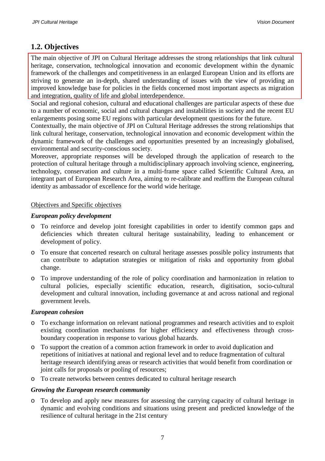# **1.2. Objectives**

The main objective of JPI on Cultural Heritage addresses the strong relationships that link cultural heritage, conservation, technological innovation and economic development within the dynamic framework of the challenges and competitiveness in an enlarged European Union and its efforts are striving to generate an in-depth, shared understanding of issues with the view of providing an improved knowledge base for policies in the fields concerned most important aspects as migration and integration, quality of life and global interdependence.

Social and regional cohesion, cultural and educational challenges are particular aspects of these due to a number of economic, social and cultural changes and instabilities in society and the recent EU enlargements posing some EU regions with particular development questions for the future.

Contextually, the main objective of JPI on Cultural Heritage addresses the strong relationships that link cultural heritage, conservation, technological innovation and economic development within the dynamic framework of the challenges and opportunities presented by an increasingly globalised, environmental and security-conscious society.

Moreover, appropriate responses will be developed through the application of research to the protection of cultural heritage through a multidisciplinary approach involving science, engineering, technology, conservation and culture in a multi-frame space called Scientific Cultural Area, an integrant part of European Research Area, aiming to re-calibrate and reaffirm the European cultural identity as ambassador of excellence for the world wide heritage.

### Objectives and Specific objectives

### *European policy development*

- o To reinforce and develop joint foresight capabilities in order to identify common gaps and deficiencies which threaten cultural heritage sustainability, leading to enhancement or development of policy.
- o To ensure that concerted research on cultural heritage assesses possible policy instruments that can contribute to adaptation strategies or mitigation of risks and opportunity from global change.
- o To improve understanding of the role of policy coordination and harmonization in relation to cultural policies, especially scientific education, research, digitisation, socio-cultural development and cultural innovation, including governance at and across national and regional government levels.

### *European cohesion*

- o To exchange information on relevant national programmes and research activities and to exploit existing coordination mechanisms for higher efficiency and effectiveness through crossboundary cooperation in response to various global hazards.
- o To support the creation of a common action framework in order to avoid duplication and repetitions of initiatives at national and regional level and to reduce fragmentation of cultural heritage research identifying areas or research activities that would benefit from coordination or joint calls for proposals or pooling of resources;
- o To create networks between centres dedicated to cultural heritage research

### *Growing the European research community*

o To develop and apply new measures for assessing the carrying capacity of cultural heritage in dynamic and evolving conditions and situations using present and predicted knowledge of the resilience of cultural heritage in the 21st century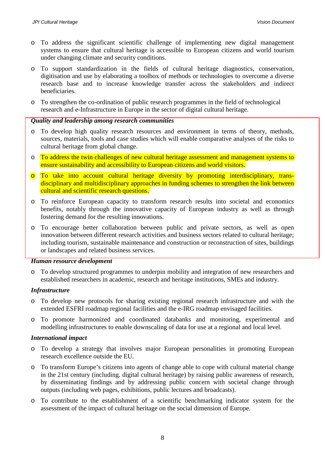- o To address the significant scientific challenge of implementing new digital management systems to ensure that cultural heritage is accessible to European citizens and world tourism under changing climate and security conditions.
- o To support standardization in the fields of cultural heritage diagnostics, conservation, digitisation and use by elaborating a toolbox of methods or technologies to overcome a diverse research base and to increase knowledge transfer across the stakeholders and indirect beneficiaries.
- o To strengthen the co-ordination of public research programmes in the field of technological research and e-Infrastructure in Europe in the sector of digital cultural heritage.

#### *Quality and leadership among research communities*

- o To develop high quality research resources and environment in terms of theory, methods, sources, materials, tools and case studies which will enable comparative analyses of the risks to cultural heritage from global change.
- o To address the twin challenges of new cultural heritage assessment and management systems to ensure sustainability and accessibility to European citizens and world visitors.
- o To take into account cultural heritage diversity by promoting interdisciplinary, transdisciplinary and multidisciplinary approaches in funding schemes to strengthen the link between cultural and scientific research questions.
- o To reinforce European capacity to transform research results into societal and economics benefits, notably through the innovative capacity of European industry as well as through fostering demand for the resulting innovations.
- o To encourage better collaboration between public and private sectors, as well as open innovation between different research activities and business sectors related to cultural heritage; including tourism, sustainable maintenance and construction or reconstruction of sites, buildings or landscapes and related business services.

#### *Human resource development*

o To develop structured programmes to underpin mobility and integration of new researchers and established researchers in academic, research and heritage institutions, SMEs and industry.

#### *Infrastructure*

- o To develop new protocols for sharing existing regional research infrastructure and with the extended ESFRI roadmap regional facilities and the e-IRG roadmap envisaged facilities.
- o To promote harmonized and coordinated databanks and monitoring, experimental and modelling infrastructures to enable downscaling of data for use at a regional and local level.

#### *International impact*

- o To develop a strategy that involves major European personalities in promoting European research excellence outside the EU.
- o To transform Europe's citizens into agents of change able to cope with cultural material change in the 21st century (including. digital cultural heritage) by raising public awareness of research, by disseminating findings and by addressing public concern with societal change through outputs (including web pages, exhibitions, public lectures and broadcasts).
- o To contribute to the establishment of a scientific benchmarking indicator system for the assessment of the impact of cultural heritage on the social dimension of Europe.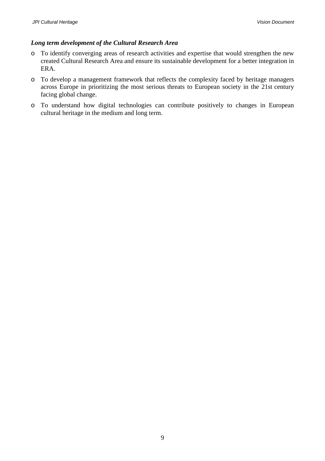### *Long term development of the Cultural Research Area*

- o To identify converging areas of research activities and expertise that would strengthen the new created Cultural Research Area and ensure its sustainable development for a better integration in ERA.
- o To develop a management framework that reflects the complexity faced by heritage managers across Europe in prioritizing the most serious threats to European society in the 21st century facing global change.
- o To understand how digital technologies can contribute positively to changes in European cultural heritage in the medium and long term.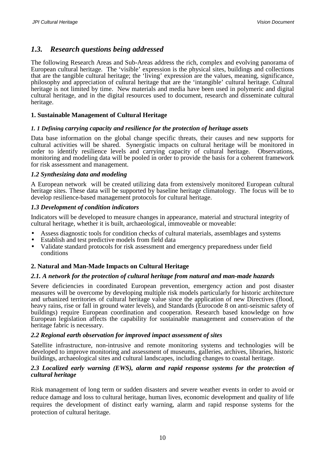# *1.3. Research questions being addressed*

The following Research Areas and Sub-Areas address the rich, complex and evolving panorama of European cultural heritage. The 'visible' expression is the physical sites, buildings and collections that are the tangible cultural heritage; the 'living' expression are the values, meaning, significance, philosophy and appreciation of cultural heritage that are the 'intangible' cultural heritage. Cultural heritage is not limited by time. New materials and media have been used in polymeric and digital cultural heritage, and in the digital resources used to document, research and disseminate cultural heritage.

### **1. Sustainable Management of Cultural Heritage**

### *1. 1 Defining carrying capacity and resilience for the protection of heritage assets*

Data base information on the global change specific threats, their causes and new supports for cultural activities will be shared. Synergistic impacts on cultural heritage will be monitored in order to identify resilience levels and carrying capacity of cultural heritage. Observations, monitoring and modeling data will be pooled in order to provide the basis for a coherent framework for risk assessment and management.

### *1.2 Synthesizing data and modeling*

A European network will be created utilizing data from extensively monitored European cultural heritage sites. These data will be supported by baseline heritage climatology. The focus will be to develop resilience-based management protocols for cultural heritage.

### *1.3 Development of condition indicators*

Indicators will be developed to measure changes in appearance, material and structural integrity of cultural heritage, whether it is built, archaeological, immoveable or moveable:

- Assess diagnostic tools for condition checks of cultural materials, assemblages and systems
- Establish and test predictive models from field data
- Validate standard protocols for risk assessment and emergency preparedness under field conditions

### **2. Natural and Man-Made Impacts on Cultural Heritage**

### *2.1. A network for the protection of cultural heritage from natural and man-made hazards*

Severe deficiencies in coordinated European prevention, emergency action and post disaster measures will be overcome by developing multiple risk models particularly for historic architecture and urbanized territories of cultural heritage value since the application of new Directives (flood, heavy rains, rise or fall in ground water levels), and Standards (Eurocode 8 on anti-seismic safety of buildings) require European coordination and cooperation. Research based knowledge on how European legislation affects the capability for sustainable management and conservation of the heritage fabric is necessary.

#### *2.2 Regional earth observation for improved impact assessment of sites*

Satellite infrastructure, non-intrusive and remote monitoring systems and technologies will be developed to improve monitoring and assessment of museums, galleries, archives, libraries, historic buildings, archaeological sites and cultural landscapes, including changes to coastal heritage.

#### *2.3 Localized early warning (EWS), alarm and rapid response systems for the protection of cultural heritage*

Risk management of long term or sudden disasters and severe weather events in order to avoid or reduce damage and loss to cultural heritage, human lives, economic development and quality of life requires the development of distinct early warning, alarm and rapid response systems for the protection of cultural heritage.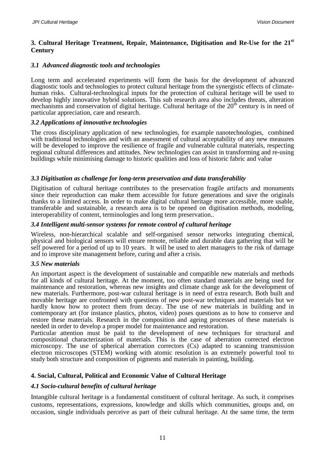### **3. Cultural Heritage Treatment, Repair, Maintenance, Digitisation and Re-Use for the 21st Century**

### *3.1 Advanced diagnostic tools and technologies*

Long term and accelerated experiments will form the basis for the development of advanced diagnostic tools and technologies to protect cultural heritage from the synergistic effects of climatehuman risks. Cultural-technological inputs for the protection of cultural heritage will be used to develop highly innovative hybrid solutions. This sub research area also includes threats, alteration mechanisms and conservation of digital heritage. Cultural heritage of the  $20<sup>th</sup>$  century is in need of particular appreciation, care and research.

#### *3.2 Applications of innovative technologies*

The cross disciplinary application of new technologies, for example nanotechnologies, combined with traditional technologies and with an assessment of cultural acceptability of any new measures will be developed to improve the resilience of fragile and vulnerable cultural materials, respecting regional cultural differences and attitudes. New technologies can assist in transforming and re-using buildings while minimising damage to historic qualities and loss of historic fabric and value

### *3.3 Digitisation as challenge for long-term preservation and data transferability*

Digitisation of cultural heritage contributes to the preservation fragile artifacts and monuments since their reproduction can make them accessible for future generations and save the originals thanks to a limited access. In order to make digital cultural heritage more accessible, more usable, transferable and sustainable, a research area is to be opened on digitisation methods, modeling, interoperability of content, terminologies and long term preservation..

#### *3.4 Intelligent multi-sensor systems for remote control of cultural heritage*

Wireless, non-hierarchical scalable and self-organised sensor networks integrating chemical, physical and biological sensors will ensure remote, reliable and durable data gathering that will be self powered for a period of up to 10 years. It will be used to alert managers to the risk of damage and to improve site management before, curing and after a crisis.

#### *3.5 New materials*

An important aspect is the development of sustainable and compatible new materials and methods for all kinds of cultural heritage. At the moment, too often standard materials are being used for maintenance and restoration, whereas new insights and climate change ask for the development of new materials. Furthermore, post-war cultural heritage is in need of extra research. Both built and movable heritage are confronted with questions of new post-war techniques and materials but we hardly know how to protect them from decay. The use of new materials in building and in contemporary art (for instance plastics, photos, video) poses questions as to how to conserve and restore these materials. Research in the composition and ageing processes of these materials is needed in order to develop a proper model for maintenance and restoration.

Particular attention must be paid to the development of new techniques for structural and compositional characterization of materials. This is the case of aberration corrected electron microscopy. The use of spherical aberration correctors (Cs) adapted to scanning transmission electron microscopes (STEM) working with atomic resolution is an extremely powerful tool to study both structure and composition of pigments and materials in painting, building.

#### **4. Social, Cultural, Political and Economic Value of Cultural Heritage**

#### *4.1 Socio-cultural benefits of cultural heritage*

Intangible cultural heritage is a fundamental constituent of cultural heritage. As such, it comprises customs, representations, expressions, knowledge and skills which communities, groups and, on occasion, single individuals perceive as part of their cultural heritage. At the same time, the term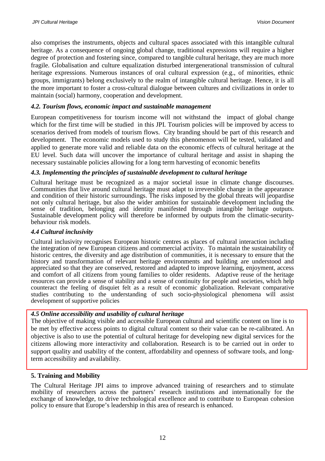also comprises the instruments, objects and cultural spaces associated with this intangible cultural heritage. As a consequence of ongoing global change, traditional expressions will require a higher degree of protection and fostering since, compared to tangible cultural heritage, they are much more fragile. Globalisation and culture equalization disturbed intergenerational transmission of cultural heritage expressions. Numerous instances of oral cultural expression (e.g., of minorities, ethnic groups, immigrants) belong exclusively to the realm of intangible cultural heritage. Hence, it is all the more important to foster a cross-cultural dialogue between cultures and civilizations in order to maintain (social) harmony, cooperation and development.

#### *4.2. Tourism flows, economic impact and sustainable management*

European competitiveness for tourism income will not withstand the impact of global change which for the first time will be studied in this JPI. Tourism policies will be improved by access to scenarios derived from models of tourism flows. City branding should be part of this research and development. The economic models used to study this phenomenon will be tested, validated and applied to generate more valid and reliable data on the economic effects of cultural heritage at the EU level. Such data will uncover the importance of cultural heritage and assist in shaping the necessary sustainable policies allowing for a long term harvesting of economic benefits

#### *4.3. Implementing the principles of sustainable development to cultural heritage*

Cultural heritage must be recognized as a major societal issue in climate change discourses. Communities that live around cultural heritage must adapt to irreversible change in the appearance and condition of their historic surroundings. The risks imposed by the global threats will jeopardise not only cultural heritage, but also the wider ambition for sustainable development including the sense of tradition, belonging and identity manifested through intangible heritage outputs. Sustainable development policy will therefore be informed by outputs from the climatic-securitybehaviour risk models.

#### *4.4 Cultural inclusivity*

Cultural inclusivity recognises European historic centres as places of cultural interaction including the integration of new European citizens and commercial activity. To maintain the sustainability of historic centres, the diversity and age distribution of communities, it is necessary to ensure that the history and transformation of relevant heritage environments and building are understood and appreciated so that they are conserved, restored and adapted to improve learning, enjoyment, access and comfort of all citizens from young families to older residents. Adaptive reuse of the heritage resources can provide a sense of stability and a sense of continuity for people and societies, which help counteract the feeling of disquiet felt as a result of economic globalization. Relevant comparative studies contributing to the understanding of such socio-physiological phenomena will assist development of supportive policies

#### *4.5 Online accessibility and usability of cultural heritage*

The objective of making visible and accessible European cultural and scientific content on line is to be met by effective access points to digital cultural content so their value can be re-calibrated. An objective is also to use the potential of cultural heritage for developing new digital services for the citizens allowing more interactivity and collaboration. Research is to be carried out in order to support quality and usability of the content, affordability and openness of software tools, and longterm accessibility and availability.

#### **5. Training and Mobility**

The Cultural Heritage JPI aims to improve advanced training of researchers and to stimulate mobility of researchers across the partners' research institutions and internationally for the exchange of knowledge, to drive technological excellence and to contribute to European cohesion policy to ensure that Europe's leadership in this area of research is enhanced.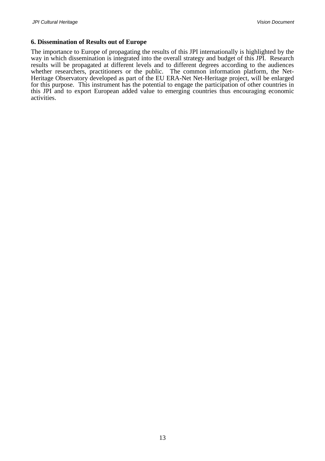#### **6. Dissemination of Results out of Europe**

The importance to Europe of propagating the results of this JPI internationally is highlighted by the way in which dissemination is integrated into the overall strategy and budget of this JPI. Research results will be propagated at different levels and to different degrees according to the audiences whether researchers, practitioners or the public. The common information platform, the Net-Heritage Observatory developed as part of the EU ERA-Net Net-Heritage project, will be enlarged for this purpose. This instrument has the potential to engage the participation of other countries in this JPI and to export European added value to emerging countries thus encouraging economic activities.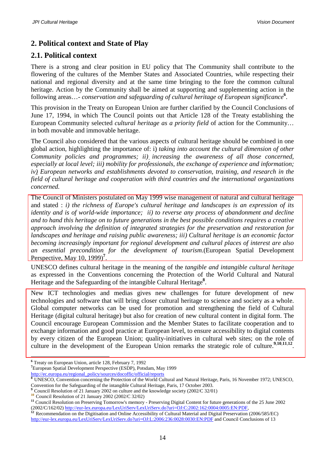# **2. Political context and State of Play**

# **2.1. Political context**

There is a strong and clear position in EU policy that The Community shall contribute to the flowering of the cultures of the Member States and Associated Countries, while respecting their national and regional diversity and at the same time bringing to the fore the common cultural heritage. Action by the Community shall be aimed at supporting and supplementing action in the following areas…- *conservation and safeguarding of cultural heritage of European significance***<sup>6</sup>** .

This provision in the Treaty on European Union are further clarified by the Council Conclusions of June 17, 1994, in which The Council points out that Article 128 of the Treaty establishing the European Community selected *cultural heritage as a priority field* of action for the Community… in both movable and immovable heritage.

The Council also considered that the various aspects of cultural heritage should be combined in one global action, highlighting the importance of: i) *taking into account the cultural dimension of other Community policies and programmes; ii) increasing the awareness of all those concerned, especially at local level; iii) mobility for professionals, the exchange of experience and information; iv) European networks and establishments devoted to conservation, training, and research in the field of cultural heritage and cooperation with third countries and the international organizations concerned.*

The Council of Ministers postulated on May 1999 wise management of natural and cultural heritage and stated : *i) the richness of Europe's cultural heritage and landscapes is an expression of its identity and is of world-wide importance; ii) to reverse any process of abandonment and decline and to hand this heritage on to future generations in the best possible conditions requires a creative approach involving the definition of integrated strategies for the preservation and restoration for landscapes and heritage and raising public awareness; iii) Cultural heritage is an economic factor becoming increasingly important for regional development and cultural places of interest are also an essential precondition for the development of tourism*.(European Spatial Development Perspective, May 10, 1999)**<sup>7</sup>** .

UNESCO defines cultural heritage in the meaning of the *tangible and intangible cultural heritage* as expressed in the Conventions concerning the Protection of the World Cultural and Natural Heritage and the Safeguarding of the intangible Cultural Heritage**<sup>8</sup>** .

New ICT technologies and medias gives new challenges for future development of new technologies and software that will bring closer cultural heritage to science and society as a whole. Global computer networks can be used for promotion and strengthening the field of Cultural Heritage (digital cultural heritage) but also for creation of new cultural content in digital form. The Council encourage European Commission and the Member States to facilitate cooperation and to exchange information and good practice at European level, to ensure accessibility to digital contents by every citizen of the European Union; quality-initiatives in cultural web sites; on the role of culture in the development of the European Union remarks the strategic role of culture.**<sup>9</sup>**,**10**,**11**,**<sup>12</sup>** .

 $\overline{a}$ 

http://ec.europa.eu/regional\_policy/sources/docoffic/official/reports

**<sup>6</sup>** Treaty on European Union, article 128, February 7, 1992

**<sup>7</sup>**European Spatial Development Perspective (ESDP), Potsdam, May 1999

**<sup>8</sup>** UNESCO, Convention concerning the Protection of the World Cultural and Natural Heritage, Paris, 16 November 1972; UNESCO, Convention for the Safeguarding of the intangible Cultural Heritage, Paris, 17 October 2003.

**<sup>9</sup>** Council Resolution of 21 January 2002 on culture and the knowledge society (2002/C 32/01)

**<sup>10</sup>** Council Resolution of 21 January 2002 (2002/C 32/02)

**<sup>11</sup>** Council Resolution on Preserving Tomorrow's memory - Preserving Digital Content for future generations of the 25 June 2002 (2002/C/162/02) http://eur-lex.europa.eu/LexUriServ/LexUriServ.do?uri=OJ:C:2002:162:0004:0005:EN:PDF,

**<sup>12</sup>** Recommendation on the Digitisation and Online Accessibility of Cultural Material and Digital Preservation (2006/585/EC) http://eur-lex.europa.eu/LexUriServ/LexUriServ.do?uri=OJ:L:2006:236:0028:0030:EN:PDF and Council Conclusions of 13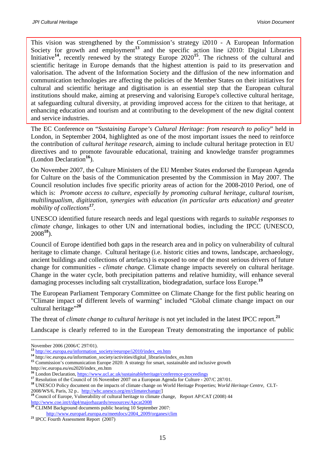This vision was strengthened by the Commission's strategy i2010 - A European Information Society for growth and employment<sup>13</sup> and the specific action line i2010: Digital Libraries Initiative**<sup>14</sup>**, recently renewed by the strategy Europe 2020**<sup>15</sup>**. The richness of the cultural and scientific heritage in Europe demands that the highest attention is paid to its preservation and valorisation. The advent of the Information Society and the diffusion of the new information and communication technologies are affecting the policies of the Member States on their initiatives for cultural and scientific heritage and digitisation is an essential step that the European cultural institutions should make, aiming at preserving and valorising Europe's collective cultural heritage, at safeguarding cultural diversity, at providing improved access for the citizen to that heritage, at enhancing education and tourism and at contributing to the development of the new digital content and service industries.

The EC Conference on "*Sustaining Europe's Cultural Heritage: from research to policy*" held in London, in September 2004, highlighted as one of the most important issues the need to reinforce the contribution of *cultural heritage research,* aiming to include cultural heritage protection in EU directives and to promote favourable educational, training and knowledge transfer programmes (London Declaration**<sup>16</sup>**).

On November 2007, the Culture Ministers of the EU Member States endorsed the European Agenda for Culture on the basis of the Communication presented by the Commission in May 2007. The Council resolution includes five specific priority areas of action for the 2008-2010 Period, one of which is: *Promote access to culture, especially by promoting cultural heritage, cultural tourism, multilingualism, digitization, synergies with education (in particular arts education) and greater mobility of collections<sup>17</sup> .* 

UNESCO identified future research needs and legal questions with regards to *suitable responses to climate change*, linkages to other UN and international bodies, including the IPCC (UNESCO, 2008**<sup>18</sup>**).

Council of Europe identified both gaps in the research area and in policy on vulnerability of cultural heritage to climate change. Cultural heritage (i.e. historic cities and towns, landscape, archaeology, ancient buildings and collections of artefacts) is exposed to one of the most serious drivers of future change for communities - *climate change*. Climate change impacts severely on cultural heritage. Change in the water cycle, both precipitation patterns and relative humidity, will enhance several damaging processes including salt crystallization, biodegradation, surface loss Europe.**<sup>19</sup>**

The European Parliament Temporary Committee on Climate Change for the first public hearing on "Climate impact of different levels of warming" included "Global climate change impact on our cultural heritage"**<sup>20</sup>**

The threat of *climate change to cultural heritage i*s not yet included in the latest IPCC report.**<sup>21</sup>**

Landscape is clearly referred to in the European Treaty demonstrating the importance of public

http://ec.europa.eu/eu2020/index\_en.htm

2008/WS/6, Paris, 32 p.. http://whc.unesco.org/en/climatechange/]

<sup>19</sup> Council of Europe, Vulnerability of cultural heritage to climate change, Report AP/CAT (2008) 44 http://www.coe.int/t/dg4/majorhazards/ressources/Apcat2008

 $\overline{a}$ November 2006 (2006/C 297/01).

**<sup>13</sup>** http://ec.europa.eu/information\_society/eeurope/i2010/index\_en.htm

**<sup>14</sup>** http://ec.europa.eu/information\_society/activities/digital\_libraries/index\_en.htm

<sup>&</sup>lt;sup>15</sup> Commission's communication Europe 2020: A strategy for smart, sustainable and inclusive growth

<sup>&</sup>lt;sup>16</sup> London Declaration, https://www.ucl.ac.uk/sustainableheritage/conference-proceedings

<sup>&</sup>lt;sup>17</sup> Resolution of the Council of 16 November 2007 on a European Agenda for Culture - 207/C 287/01.

**<sup>18</sup>** UNESCO Policy document on the impacts of climate change on World Heritage Properties; *World Heritage Centre,* CLT-

**<sup>20</sup>** CLIMM Background documents public hearing 10 September 2007:

http://www.europarl.europa.eu/meetdocs/2004\_2009/organes/clim

**<sup>21</sup>** IPCC Fourth Assessment Report (2007)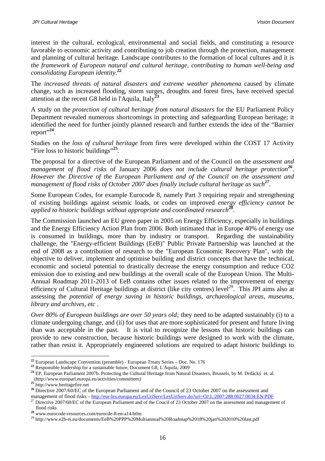interest in the cultural, ecological, environmental and social fields, and constituting a resource favorable to economic activity and contributing to job creation through the protection, management and planning of cultural heritage. Landscape contributes to the formation of local cultures and it is *the framework of European natural and cultural heritage, contributing to human well-being and consolidating European identity*. **22**

The *increased threats of natural disasters and extreme weather phenomena* caused by climate change, such as increased flooding, storm surges, droughts and forest fires, have received special attention at the recent G8 held in l'Aquila, Italy**<sup>23</sup>**

A study on the *protection of cultural heritage from natural disasters* for the EU Parliament Policy Department revealed numerous shortcomings in protecting and safeguarding European heritage; it identified the need for further jointly planned research and further extends the idea of the "Barnier report"<sup>24</sup>.

Studies on the *loss of cultural heritage* from fires were developed within the COST 17 Activity "Fire loss to historic buildings"**<sup>25</sup>** .

The proposal for a directive of the European Parliament and of the Council on the *assessment and management of flood risks* of January 2006 *does not include cultural heritage protection***<sup>26</sup>** . *However the Directive of the European Parliament and of the Council on the assessment and management of flood risks of October 2007 does finally include cultural heritage as such<sup>27</sup> .*

Some European Codes, for example Eurocode 8, namely Part 3 requiring repair and strengthening of existing buildings against seismic loads, or codes on improved *energy efficiency cannot be applied to historic buildings without appropriate and coordinated research***<sup>28</sup>** .

The Commission launched an EU green paper in 2005 on Energy Efficiency, especially in buildings and the Energy Efficiency Action Plan from 2006. Both intimated that in Europe 40% of energy use is consumed in buildings, more than by industry or transport. Regarding the sustainability challenge, the "Energy-efficient Buildings (EeB)" Public Private Partnership was launched at the end of 2008 as a contribution of research to the "European Economic Recovery Plan", with the objective to deliver, implement and optimise building and district concepts that have the technical, economic and societal potential to drastically decrease the energy consumption and reduce CO2 emission due to existing and new buildings at the overall scale of the European Union. The Multi-Annual Roadmap 2011-2013 of EeB contains other issues related to the improvement of energy efficiency of Cultural Heritage buildings at district (like city centres) level<sup>29</sup>. This JPI aims also at assessing the *potential of energy saving in historic buildings, archaeological areas, museums, library and archives, etc .* 

*Over 80% of European buildings are over 50 years old;* they need to be adapted sustainably (i) to a climate undergoing change, and (ii) for uses that are more sophisticated for present and future living than was acceptable in the past. It is vital to recognize the lessons that historic buildings can provide to new construction, because historic buildings were designed to work with the climate, rather than resist it. Appropriately engineered solutions are required to adapt historic buildings to

 $\overline{a}$ 

**<sup>22</sup>** European Landscape Convention (preamble) - European Treaty Series – Doc. No. 176

**<sup>23</sup>** Responsible leadership for a sustainable future, Document G8, L'Aquila, 2009

<sup>&</sup>lt;sup>24</sup> EP, European Parliament 2007b. Protecting the Cultural Heritage from Natural Disasters, Brussels, by M. Drdácký et. al. (http://www.europarl.europa.eu/activities/committees)

**<sup>25</sup>** http://www.heritagefire.net

**<sup>26</sup>** Directive 2007/60/EC of the European Parliament and of the Council of 23 October 2007 on the assessment and management of flood risks – http://eur-lex.europa.eu/LexUriServ/LexUriServ.do?uri=OJ:L:2007:288:0027:0034:EN:PDF

<sup>&</sup>lt;sup>27</sup> Directive 2007/60/EC of the European Parliament and of the Coucil of 23 October 2007 on the assessment and management of flood risks

**<sup>28</sup>** www.eurocode-resources.com/eurocde-8-en-a14.htlm

<sup>29</sup> http://www.e2b-ei.eu/documents/EeB%20PPP%20Multiannual%20Roadmap%2018%20jan%202010%20last.pdf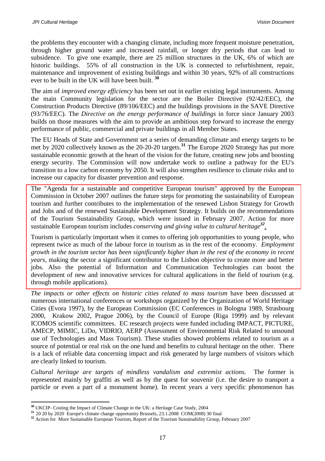the problems they encounter with a changing climate, including more frequent moisture penetration, through higher ground water and increased rainfall, or longer dry periods that can lead to subsidence. To give one example, there are 25 million structures in the UK, 6% of which are historic buildings. 55% of all construction in the UK is connected to refurbishment, repair, maintenance and improvement of existing buildings and within 30 years, 92% of all constructions ever to be built in the UK will have been built. **<sup>30</sup>**

The aim of *improved energy efficiency* has been set out in earlier existing legal instruments. Among the main Community legislation for the sector are the Boiler Directive (92/42/EEC), the Construction Products Directive (89/106/EEC) and the buildings provisions in the SAVE Directive (93/76/EEC). The *Directive on the energy performance of buildings* in force since January 2003 builds on those measures with the aim to provide an ambitious step forward to increase the energy performance of public, commercial and private buildings in all Member States.

The EU Heads of State and Government set a series of demanding climate and energy targets to be met by 2020 collectively known as the 20-20-20 targets.**<sup>31</sup>** The Europe 2020 Strategy has put more sustainable economic growth at the heart of the vision for the future, creating new jobs and boosting energy security. The Commission will now undertake work to outline a pathway for the EU's transition to a low carbon economy by 2050. It will also strengthen resilience to climate risks and to increase our capacity for disaster prevention and response.

The "Agenda for a sustainable and competitive European tourism" approved by the European Commission in October 2007 outlines the future steps for promoting the sustainability of European tourism and further contributes to the implementation of the renewed Lisbon Strategy for Growth and Jobs and of the renewed Sustainable Development Strategy. It builds on the recommendations of the Tourism Sustainability Group, which were issued in February 2007. Action for more sustainable European tourism includes *conserving and giving value to cultural heritage<sup>32</sup> .*

Tourism is particularly important when it comes to offering job opportunities to young people, who represent twice as much of the labour force in tourism as in the rest of the economy. *Employment growth in the tourism sector has been significantly higher than in the rest of the economy in recent years,* making the sector a significant contributor to the Lisbon objective to create more and better jobs. Also the potential of Information and Communication Technologies can boost the development of new and innovative services for cultural applications in the field of tourism (e.g. through mobile applications).

*The impacts or other effects on historic cities related to mass tourism* have been discussed at numerous international conferences or workshops organized by the Organization of World Heritage Cities (Evora 1997), by the European Commission (EC Conferences in Bologna 1989, Strasbourg 2000, Krakow 2002, Prague 2006), by the Council of Europe (Riga 1999) and by relevant ICOMOS scientific committees. EC research projects were funded including IMPACT, PICTURE, AMECP, MIMIC, LiDo, VIDRIO, AERP (Assessment of Environmental Risk Related to unsound use of Technologies and Mass Tourism). These studies showed problems related to tourism as a source of potential or real risk on the one hand and benefits to cultural heritage on the other. There is a lack of reliable data concerning impact and risk generated by large numbers of visitors which are clearly linked to tourism.

*Cultural heritage are targets of mindless vandalism and extremist actions.* The former is represented mainly by graffiti as well as by the quest for souvenir (i.e. the desire to transport a particle or even a part of a monument home). In recent years a very specific phenomenon has

 $\overline{a}$ 

**<sup>30</sup>** UKCIP- Costing the Impact of Climate Change in the UK: a Heritage Case Study, 2004

<sup>&</sup>lt;sup>31</sup> 20 20 by 2020 Europe's climate change opportunity Brussels, 23.1.2008 COM(2008) 30 final

<sup>&</sup>lt;sup>32</sup> Action for More Sustainable European Tourism, Report of the Tourism Sustainability Group, February 2007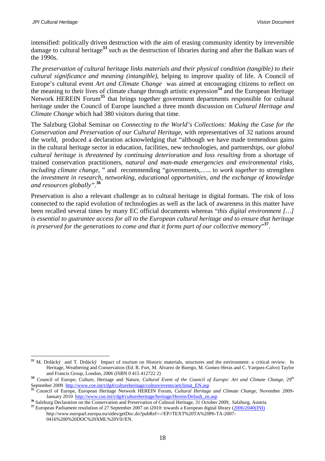intensified: politically driven destruction with the aim of erasing community identity by irreversible damage to cultural heritage**<sup>33</sup>** such as the destruction of libraries during and after the Balkan wars of the 1990s.

*The preservation of cultural heritage links materials and their physical condition (tangible) to their cultural significance and meaning (intangible),* helping to improve quality of life. A Council of Europe's cultural event *Art and Climate Change* was aimed at encouraging citizens to reflect on the meaning to their lives of climate change through artistic expression**<sup>34</sup>** and the European Heritage Network HEREIN Forum**<sup>35</sup>** that brings together government departments responsible for cultural heritage under the Council of Europe launched a three month discussion on *Cultural Heritage and Climate Change* which had 380 visitors during that time.

The Salzburg Global Seminar on *Connecting to the World's Collections: Making the Case for the Conservation and Preservation of our Cultural Heritage*, with representatives of 32 nations around the world, produced a declaration acknowledging that "although we have made tremendous gains in the cultural heritage sector in education, facilities, new technologies, and partnerships, *our global cultural heritage is threatened by continuing deterioration and loss resulting* from a shortage of trained conservation practitioners, *natural and man-made emergencies and environmental risks, including climate change,* " and recommending "governments,….. to *work together* to strengthen the *investment in research, networking*, *educational opportunities, and the exchange of knowledge and resources globally".***<sup>36</sup>** 

Preservation is also a relevant challenge as to cultural heritage in digital formats. The risk of loss connected to the rapid evolution of technologies as well as the lack of awareness in this matter have been recalled several times by many EC official documents whereas "*this digital environment […] is essential to guarantee access for all to the European cultural heritage and to ensure that heritage* is preserved for the generations to come and that it forms part of our collective memory"<sup>37</sup>.

 $\overline{a}$ **<sup>33</sup>** M. Drdácký and T. Drdácký Impact of tourism on Historic materials, structures and the environment: a critical review. In Heritage, Weathering and Conservation (Ed. R. Fort, M. Alvarez de Buergo, M. Gomez-Heras and C. Varquez-Calvo) Taylor and Francis Group, London, 2006 (ISBN 0 415 412722 2)

<sup>&</sup>lt;sup>34</sup> Council of Europe, Culture, Heritage and Nature, *Cultural Event of the Council of Europe: Art and Climate Change*, 29<sup>th</sup> September 2009 http://www.coe.int/t/dg4/cultureheritage/culture/events/artclimat\_EN.asp<br>35 Cannell 0.

**<sup>35</sup>** Council of Europe, European Heritage Network HEREIN Forum, *Cultural Heritage and Climate Change*, November 2009- January 2010 http://www.coe.int/t/dg4/cultureheritage/heritage/Herein/Default\_en.asp

<sup>&</sup>lt;sup>36</sup> Salzburg Declaration on the Conservation and Preservation of Cultural Heritage, 31 October 2009, Salzburg, Austria **<sup>37</sup>** European Parliament resolution of 27 September 2007 on i2010: towards a European digital library (2006/2040(INI)

http://www.europarl.europa.eu/sides/getDoc.do?pubRef=-//EP//TEXT%20TA%20P6-TA-2007- 0416%200%20DOC%20XML%20V0//EN.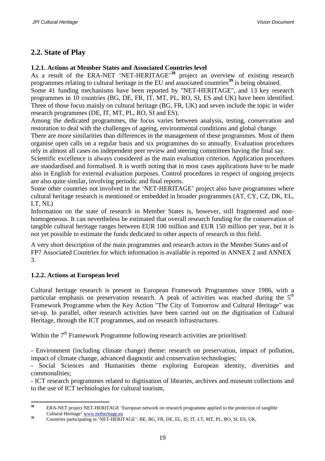# **2.2. State of Play**

### **1.2.1. Actions at Member States and Associated Countries level**

As a result of the ERA-NET 'NET-HERITAGE'**<sup>38</sup>** project an overview of existing research programmes relating to cultural heritage in the EU and associated countries**<sup>39</sup>** is being obtained.

Some 41 funding mechanisms have been reported by "NET-HERITAGE", and 13 key research programmes in 10 countries (BG, DE, FR, IT, MT, PL, RO, SI, ES and UK) have been identified. Three of those focus mainly on cultural heritage (BG, FR, UK) and seven include the topic in wider research programmes (DE, IT, MT, PL, RO, SI and ES).

Among the dedicated programmes, the focus varies between analysis, testing, conservation and restoration to deal with the challenges of ageing, environmental conditions and global change.

There are more similarities than differences in the management of these programmes. Most of them organise open calls on a regular basis and six programmes do so annually. Evaluation procedures rely in almost all cases on independent peer review and steering committees having the final say.

Scientific excellence is always considered as the main evaluation criterion. Application procedures are standardised and formalised. It is worth noting that in most cases applications have to be made also in English for external evaluation purposes. Control procedures in respect of ongoing projects are also quite similar, involving periodic and final reports.

Some other countries not involved in the 'NET-HERITAGE' project also have programmes where cultural heritage research is mentioned or embedded in broader programmes (AT, CY, CZ, DK, EL, LT, NL)

Information on the state of research in Member States is, however, still fragmented and nonhomogeneous. It can nevertheless be estimated that overall research funding for the conservation of tangible cultural heritage ranges between EUR 100 million and EUR 150 million per year, but it is not yet possible to estimate the funds dedicated to other aspects of research in this field.

A very short description of the main programmes and research actors in the Member States and of FP7 Associated Countries for which information is available is reported in ANNEX 2 and ANNEX 3.

### **1.2.2. Actions at European level**

Cultural heritage research is present in European Framework Programmes since 1986, with a particular emphasis on preservation research. A peak of activities was reached during the  $5<sup>th</sup>$ Framework Programme when the Key Action "The City of Tomorrow and Cultural Heritage" was set-up. In parallel, other research activities have been carried out on the digitisation of Cultural Heritage, through the ICT programmes, and on research infrastructures.

Within the  $7<sup>th</sup>$  Framework Programme following research activities are prioritised:

- Environment (including climate change) theme: research on preservation, impact of pollution, impact of climate change, advanced diagnostic and conservation technologies;

- Social Sciences and Humanities theme exploring European identity, diversities and commonalities;

- ICT research programmes related to digitisation of libraries, archives and museum collections and to the use of ICT technologies for cultural tourism,

<sup>38</sup> **<sup>38</sup>** ERA-NET project NET-HERITAGE 'European network on research programme applied to the protection of tangible Cultural Heritage' www.netheritage.eu

**<sup>39</sup>** Countries participating in 'NET-HERITAGE': BE, BG, FR, DE, EL, IS, IT, LT, MT, PL, RO, SI, ES, UK.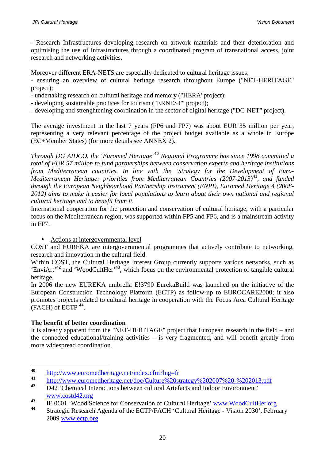- Research Infrastructures developing research on artwork materials and their deterioration and optimising the use of infrastructures through a coordinated program of transnational access, joint research and networking activities.

Moreover different ERA-NETS are especially dedicated to cultural heritage issues:

- ensuring an overview of cultural heritage research throughout Europe ("NET-HERITAGE" project);

- undertaking research on cultural heritage and memory ("HERA"project);
- developing sustainable practices for tourism ("ERNEST" project);
- developing and strenghtening coordination in the sector of digital heritage ("DC-NET" project).

The average investment in the last 7 years (FP6 and FP7) was about EUR 35 million per year, representing a very relevant percentage of the project budget available as a whole in Europe (EC+Member States) (for more details see ANNEX 2).

*Through DG AIDCO, the 'Euromed Heritage'***<sup>40</sup>** *Regional Programme has since 1998 committed a total of EUR 57 million to fund partnerships between conservation experts and heritage institutions from Mediterranean countries. In line with the 'Strategy for the Development of Euro-Mediterranean Heritage: priorities from Mediterranean Countries (2007-2013)***<sup>41</sup>***, and funded through the European Neighbourhood Partnership Instrument (ENPI), Euromed Heritage 4 (2008- 2012) aims to make it easier for local populations to learn about their own national and regional cultural heritage and to benefit from it.* 

International cooperation for the protection and conservation of cultural heritage, with a particular focus on the Mediterranean region, was supported within FP5 and FP6, and is a mainstream activity in FP7.

#### • Actions at intergovernmental level

COST and EUREKA are intergovernmental programmes that actively contribute to networking, research and innovation in the cultural field.

Within COST, the Cultural Heritage Interest Group currently supports various networks, such as 'EnviArt'**<sup>42</sup>** and 'WoodCultHer'**<sup>43</sup>**, which focus on the environmental protection of tangible cultural heritage.

In 2006 the new EUREKA umbrella E!3790 EurekaBuild was launched on the initiative of the European Construction Technology Platform (ECTP) as follow-up to EUROCARE2000; it also promotes projects related to cultural heritage in cooperation with the Focus Area Cultural Heritage (FACH) of ECTP **<sup>44</sup>** .

### **The benefit of better coordination**

It is already apparent from the "NET-HERITAGE" project that European research in the field – and the connected educational/training activities – is very fragmented, and will benefit greatly from more widespread coordination.

<sup>40</sup> **<sup>40</sup>** http://www.euromedheritage.net/index.cfm?lng=fr

**<sup>41</sup>** http://www.euromedheritage.net/doc/Culture%20strategy%202007%20-%202013.pdf

D42 'Chemical Interactions between cultural Artefacts and Indoor Environment' www.costd42.org

<sup>&</sup>lt;sup>43</sup> IE 0601 'Wood Science for Conservation of Cultural Heritage' www.WoodCultHer.org<br><sup>44</sup> Strategia Bassarsh Agenda of the ECTD/EACH 'Cultural Heritage Wisign 2020', Febru

**<sup>44</sup>** Strategic Research Agenda of the ECTP/FACH 'Cultural Heritage - Vision 2030', February 2009 www.ectp.org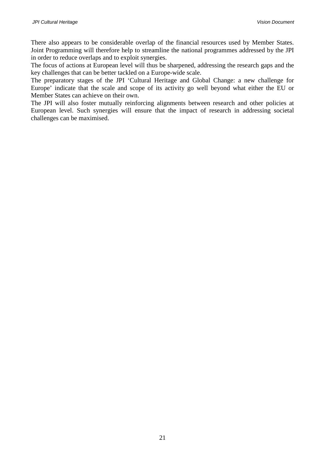There also appears to be considerable overlap of the financial resources used by Member States. Joint Programming will therefore help to streamline the national programmes addressed by the JPI in order to reduce overlaps and to exploit synergies.

The focus of actions at European level will thus be sharpened, addressing the research gaps and the key challenges that can be better tackled on a Europe-wide scale.

The preparatory stages of the JPI 'Cultural Heritage and Global Change: a new challenge for Europe' indicate that the scale and scope of its activity go well beyond what either the EU or Member States can achieve on their own.

The JPI will also foster mutually reinforcing alignments between research and other policies at European level. Such synergies will ensure that the impact of research in addressing societal challenges can be maximised.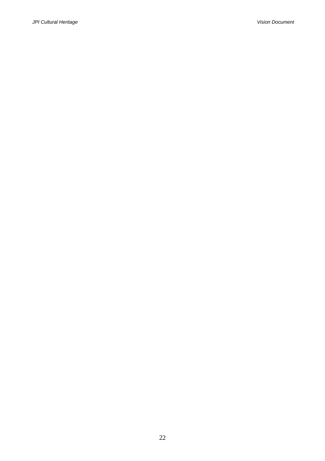JPI Cultural Heritage Vision Document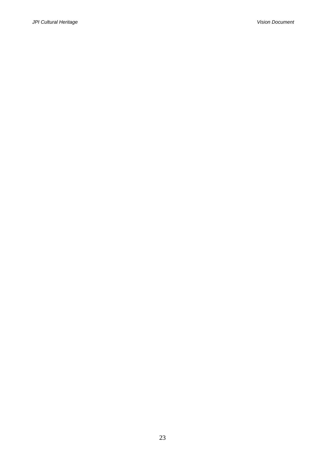JPI Cultural Heritage Vision Document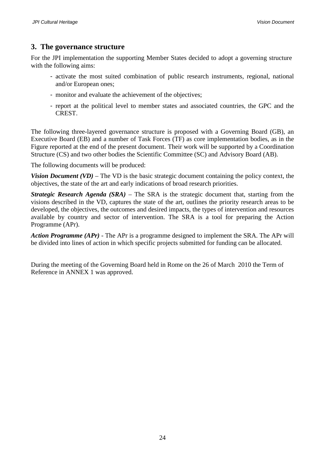### **3. The governance structure**

For the JPI implementation the supporting Member States decided to adopt a governing structure with the following aims:

- activate the most suited combination of public research instruments, regional, national and/or European ones;
- monitor and evaluate the achievement of the objectives;
- report at the political level to member states and associated countries, the GPC and the CREST.

The following three-layered governance structure is proposed with a Governing Board (GB), an Executive Board (EB) and a number of Task Forces (TF) as core implementation bodies, as in the Figure reported at the end of the present document. Their work will be supported by a Coordination Structure (CS) and two other bodies the Scientific Committee (SC) and Advisory Board (AB).

The following documents will be produced:

*Vision Document (VD)* – The VD is the basic strategic document containing the policy context, the objectives, the state of the art and early indications of broad research priorities.

*Strategic Research Agenda (SRA)* – The SRA is the strategic document that, starting from the visions described in the VD, captures the state of the art, outlines the priority research areas to be developed, the objectives, the outcomes and desired impacts, the types of intervention and resources available by country and sector of intervention. The SRA is a tool for preparing the Action Programme (APr).

*Action Programme (APr)* - The APr is a programme designed to implement the SRA. The APr will be divided into lines of action in which specific projects submitted for funding can be allocated.

During the meeting of the Governing Board held in Rome on the 26 of March 2010 the Term of Reference in ANNEX 1 was approved.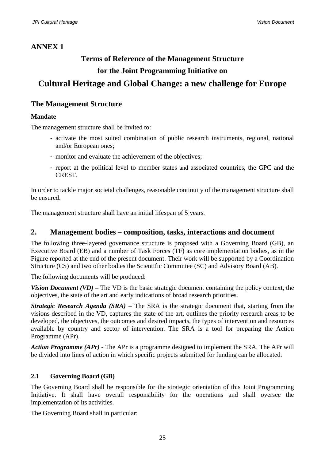# **ANNEX 1**

# **Terms of Reference of the Management Structure**

# **for the Joint Programming Initiative on**

# **Cultural Heritage and Global Change: a new challenge for Europe**

# **The Management Structure**

### **Mandate**

The management structure shall be invited to:

- activate the most suited combination of public research instruments, regional, national and/or European ones;
- monitor and evaluate the achievement of the objectives;
- report at the political level to member states and associated countries, the GPC and the CREST.

In order to tackle major societal challenges, reasonable continuity of the management structure shall be ensured.

The management structure shall have an initial lifespan of 5 years.

## **2. Management bodies – composition, tasks, interactions and document**

The following three-layered governance structure is proposed with a Governing Board (GB), an Executive Board (EB) and a number of Task Forces (TF) as core implementation bodies, as in the Figure reported at the end of the present document. Their work will be supported by a Coordination Structure (CS) and two other bodies the Scientific Committee (SC) and Advisory Board (AB).

The following documents will be produced:

*Vision Document (VD)* – The VD is the basic strategic document containing the policy context, the objectives, the state of the art and early indications of broad research priorities.

*Strategic Research Agenda (SRA)* – The SRA is the strategic document that, starting from the visions described in the VD, captures the state of the art, outlines the priority research areas to be developed, the objectives, the outcomes and desired impacts, the types of intervention and resources available by country and sector of intervention. The SRA is a tool for preparing the Action Programme (APr).

*Action Programme (APr)* - The APr is a programme designed to implement the SRA. The APr will be divided into lines of action in which specific projects submitted for funding can be allocated.

### **2.1 Governing Board (GB)**

The Governing Board shall be responsible for the strategic orientation of this Joint Programming Initiative. It shall have overall responsibility for the operations and shall oversee the implementation of its activities.

The Governing Board shall in particular: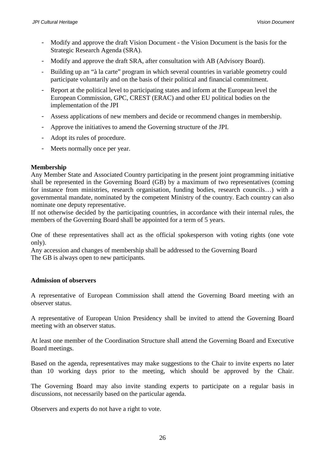- Modify and approve the draft Vision Document the Vision Document is the basis for the Strategic Research Agenda (SRA).
- Modify and approve the draft SRA, after consultation with AB (Advisory Board).
- Building up an "à la carte" program in which several countries in variable geometry could participate voluntarily and on the basis of their political and financial commitment.
- Report at the political level to participating states and inform at the European level the European Commission, GPC, CREST (ERAC) and other EU political bodies on the implementation of the JPI
- Assess applications of new members and decide or recommend changes in membership.
- Approve the initiatives to amend the Governing structure of the JPI.
- Adopt its rules of procedure.
- Meets normally once per year.

#### **Membership**

Any Member State and Associated Country participating in the present joint programming initiative shall be represented in the Governing Board (GB) by a maximum of two representatives (coming for instance from ministries, research organisation, funding bodies, research councils…) with a governmental mandate, nominated by the competent Ministry of the country. Each country can also nominate one deputy representative.

If not otherwise decided by the participating countries, in accordance with their internal rules, the members of the Governing Board shall be appointed for a term of 5 years.

One of these representatives shall act as the official spokesperson with voting rights (one vote only).

Any accession and changes of membership shall be addressed to the Governing Board The GB is always open to new participants.

#### **Admission of observers**

A representative of European Commission shall attend the Governing Board meeting with an observer status.

A representative of European Union Presidency shall be invited to attend the Governing Board meeting with an observer status.

At least one member of the Coordination Structure shall attend the Governing Board and Executive Board meetings.

Based on the agenda, representatives may make suggestions to the Chair to invite experts no later than 10 working days prior to the meeting, which should be approved by the Chair.

The Governing Board may also invite standing experts to participate on a regular basis in discussions, not necessarily based on the particular agenda.

Observers and experts do not have a right to vote.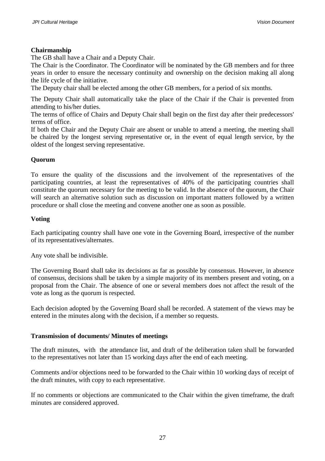### **Chairmanship**

The GB shall have a Chair and a Deputy Chair.

The Chair is the Coordinator. The Coordinator will be nominated by the GB members and for three years in order to ensure the necessary continuity and ownership on the decision making all along the life cycle of the initiative.

The Deputy chair shall be elected among the other GB members, for a period of six months.

The Deputy Chair shall automatically take the place of the Chair if the Chair is prevented from attending to his/her duties.

The terms of office of Chairs and Deputy Chair shall begin on the first day after their predecessors' terms of office.

If both the Chair and the Deputy Chair are absent or unable to attend a meeting, the meeting shall be chaired by the longest serving representative or, in the event of equal length service, by the oldest of the longest serving representative.

### **Quorum**

To ensure the quality of the discussions and the involvement of the representatives of the participating countries, at least the representatives of 40% of the participating countries shall constitute the quorum necessary for the meeting to be valid. In the absence of the quorum, the Chair will search an alternative solution such as discussion on important matters followed by a written procedure or shall close the meeting and convene another one as soon as possible.

### **Voting**

Each participating country shall have one vote in the Governing Board, irrespective of the number of its representatives/alternates.

Any vote shall be indivisible.

The Governing Board shall take its decisions as far as possible by consensus. However, in absence of consensus, decisions shall be taken by a simple majority of its members present and voting, on a proposal from the Chair. The absence of one or several members does not affect the result of the vote as long as the quorum is respected.

Each decision adopted by the Governing Board shall be recorded. A statement of the views may be entered in the minutes along with the decision, if a member so requests.

#### **Transmission of documents/ Minutes of meetings**

The draft minutes, with the attendance list, and draft of the deliberation taken shall be forwarded to the representatives not later than 15 working days after the end of each meeting.

Comments and/or objections need to be forwarded to the Chair within 10 working days of receipt of the draft minutes, with copy to each representative.

If no comments or objections are communicated to the Chair within the given timeframe, the draft minutes are considered approved.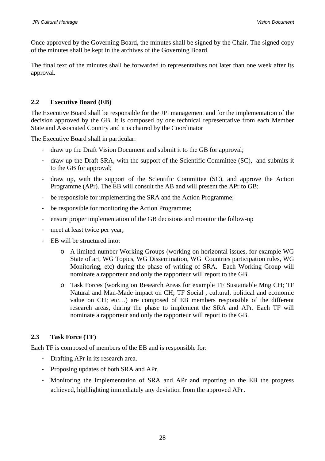Once approved by the Governing Board, the minutes shall be signed by the Chair. The signed copy of the minutes shall be kept in the archives of the Governing Board.

The final text of the minutes shall be forwarded to representatives not later than one week after its approval.

### **2.2 Executive Board (EB)**

The Executive Board shall be responsible for the JPI management and for the implementation of the decision approved by the GB. It is composed by one technical representative from each Member State and Associated Country and it is chaired by the Coordinator

The Executive Board shall in particular:

- draw up the Draft Vision Document and submit it to the GB for approval;
- draw up the Draft SRA, with the support of the Scientific Committee (SC), and submits it to the GB for approval;
- draw up, with the support of the Scientific Committee (SC), and approve the Action Programme (APr). The EB will consult the AB and will present the APr to GB;
- be responsible for implementing the SRA and the Action Programme;
- be responsible for monitoring the Action Programme;
- ensure proper implementation of the GB decisions and monitor the follow-up
- meet at least twice per year;
- EB will be structured into:
	- o A limited number Working Groups (working on horizontal issues, for example WG State of art, WG Topics, WG Dissemination, WG Countries participation rules, WG Monitoring, etc) during the phase of writing of SRA. Each Working Group will nominate a rapporteur and only the rapporteur will report to the GB.
	- o Task Forces (working on Research Areas for example TF Sustainable Mng CH; TF Natural and Man-Made impact on CH; TF Social , cultural, political and economic value on CH; etc…) are composed of EB members responsible of the different research areas, during the phase to implement the SRA and APr. Each TF will nominate a rapporteur and only the rapporteur will report to the GB.

#### **2.3 Task Force (TF)**

Each TF is composed of members of the EB and is responsible for:

- Drafting APr in its research area.
- Proposing updates of both SRA and APr.
- Monitoring the implementation of SRA and APr and reporting to the EB the progress achieved, highlighting immediately any deviation from the approved APr.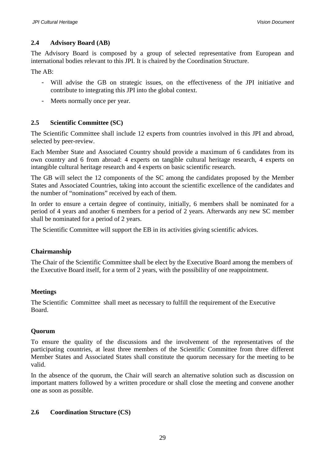### **2.4 Advisory Board (AB)**

The Advisory Board is composed by a group of selected representative from European and international bodies relevant to this JPI. It is chaired by the Coordination Structure.

The AB:

- Will advise the GB on strategic issues, on the effectiveness of the JPI initiative and contribute to integrating this JPI into the global context.
- Meets normally once per year.

### **2.5 Scientific Committee (SC)**

The Scientific Committee shall include 12 experts from countries involved in this JPI and abroad, selected by peer-review.

Each Member State and Associated Country should provide a maximum of 6 candidates from its own country and 6 from abroad: 4 experts on tangible cultural heritage research, 4 experts on intangible cultural heritage research and 4 experts on basic scientific research.

The GB will select the 12 components of the SC among the candidates proposed by the Member States and Associated Countries, taking into account the scientific excellence of the candidates and the number of "nominations" received by each of them.

In order to ensure a certain degree of continuity, initially, 6 members shall be nominated for a period of 4 years and another 6 members for a period of 2 years. Afterwards any new SC member shall be nominated for a period of 2 years.

The Scientific Committee will support the EB in its activities giving scientific advices.

### **Chairmanship**

The Chair of the Scientific Committee shall be elect by the Executive Board among the members of the Executive Board itself, for a term of 2 years, with the possibility of one reappointment.

#### **Meetings**

The Scientific Committee shall meet as necessary to fulfill the requirement of the Executive Board.

#### **Quorum**

To ensure the quality of the discussions and the involvement of the representatives of the participating countries, at least three members of the Scientific Committee from three different Member States and Associated States shall constitute the quorum necessary for the meeting to be valid.

In the absence of the quorum, the Chair will search an alternative solution such as discussion on important matters followed by a written procedure or shall close the meeting and convene another one as soon as possible.

### **2.6 Coordination Structure (CS)**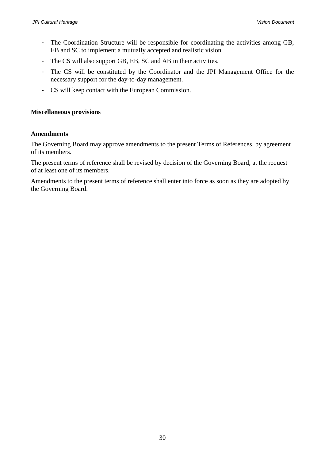- The Coordination Structure will be responsible for coordinating the activities among GB, EB and SC to implement a mutually accepted and realistic vision.
- The CS will also support GB, EB, SC and AB in their activities.
- The CS will be constituted by the Coordinator and the JPI Management Office for the necessary support for the day-to-day management.
- CS will keep contact with the European Commission.

#### **Miscellaneous provisions**

#### **Amendments**

The Governing Board may approve amendments to the present Terms of References, by agreement of its members.

The present terms of reference shall be revised by decision of the Governing Board, at the request of at least one of its members.

Amendments to the present terms of reference shall enter into force as soon as they are adopted by the Governing Board.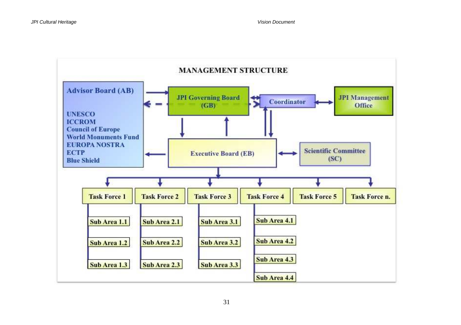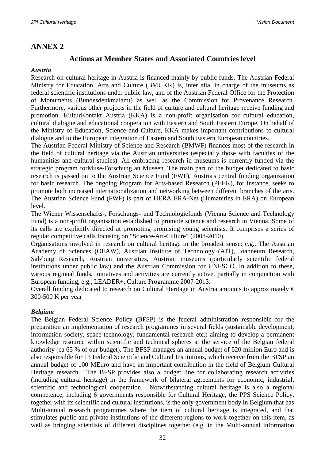## **ANNEX 2**

## **Actions at Member States and Associated Countries level**

### *Austria*

Research on cultural heritage in Austria is financed mainly by public funds. The Austrian Federal Ministry for Education, Arts and Culture (BMUKK) is, inter alia, in charge of the museums as federal scientific institutions under public law, and of the Austrian Federal Office for the Protection of Monuments (Bundesdenkmalamt) as well as the Commission for Provenance Research. Furthermore, various other projects in the field of culture and cultural heritage receive funding and promotion. KulturKontakt Austria (KKA) is a non-profit organisation for cultural education, cultural dialogue and educational cooperation with Eastern and South Eastern Europe. On behalf of the Ministry of Education, Science and Culture, KKA makes important contributions to cultural dialogue and to the European integration of Eastern and South Eastern European countries.

The Austrian Federal Ministry of Science and Research (BMWF) finances most of the research in the field of cultural heritage via the Austrian universities (especially those with faculties of the humanities and cultural studies). All-embracing research in museums is currently funded via the strategic program forMuse-Forschung an Museen. The main part of the budget dedicated to basic research is passed on to the Austrian Science Fund (FWF), Austria's central funding organization for basic research. The ongoing Program for Arts-based Research (PEEK), for instance, seeks to promote both increased internationalization and networking between different branches of the arts. The Austrian Science Fund (FWF) is part of HERA ERA-Net (Humanities in ERA) on European level.

The Wiener Wissenschafts-, Forschungs- und Technologiefonds (Vienna Science and Technology Fund) is a non-profit organisation established to promote science and research in Vienna. Some of its calls are explicitly directed at promoting promising young scientists. It comprises a series of regular competitive calls focusing on "Science-Art-Culture" (2008-2010).

Organisations involved in research on cultural heritage in the broadest sense: e.g., The Austrian Academy of Sciences (OEAW), Austrian Institute of Technology (AIT), Joanneum Research, Salzburg Research, Austrian universities, Austrian museums (particularly scientific federal institutions under public law) and the Austrian Commission for UNESCO. In addition to these, various regional funds, initiatives and activities are currently active, partially in conjunction with European funding, e.g., LEADER+, Culture Programme 2007-2013.

Overall funding dedicated to research on Cultural Heritage in Austria amounts to approximately  $\epsilon$ 300-500 K per year

### *Belgium*

The Belgian Federal Science Policy (BFSP) is the federal administration responsible for the preparation an implementation of research programmes in several fields (sustainable development, information society, space technology, fundamental research etc.) aiming to develop a permanent knowledge resource within scientific and technical spheres at the service of the Belgian federal authority (ca 65 % of our budget). The BFSP manages an annual budget of 520 million Euro and is also responsible for 13 Federal Scientific and Cultural Institutions, which receive from the BFSP an annual budget of 100 MEuro and have an important contribution in the field of Belgium Cultural Heritage research. The BFSP provides also a budget line for collaborating research activities (including cultural heritage) in the framework of bilateral agreements for economic, industrial, scientific and technological cooperation. Notwithstanding cultural heritage is also a regional competence, including 6 governments responsible for Cultural Heritage, the PPS Science Policy, together with its scientific and cultural institutions, is the only government body in Belgium that has Multi-annual research programmes where the item of cultural heritage is integrated, and that stimulates public and private institutions of the different regions to work together on this item, as well as bringing scientists of different disciplines together (e.g. in the Multi-annual information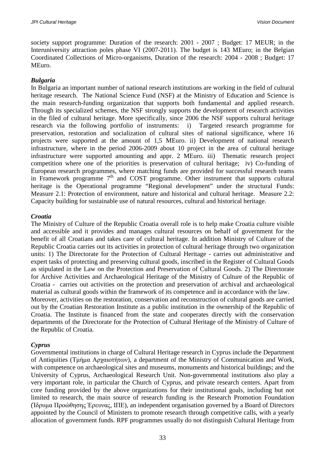society support programme: Duration of the research: 2001 - 2007 ; Budget: 17 MEUR; in the Interuniversity attraction poles phase VI (2007-2011). The budget is 143 MEuro; in the Belgian Coordinated Collections of Micro-organisms, Duration of the research: 2004 - 2008 ; Budget: 17 MEuro.

### *Bulgaria*

In Bulgaria an important number of national research institutions are working in the field of cultural heritage research. The National Science Fund (NSF) at the Ministry of Education and Science is the main research-funding organization that supports both fundamental and applied research. Through its specialized schemes, the NSF strongly supports the development of research activities in the filed of cultural heritage. More specifically, since 2006 the NSF supports cultural heritage research via the following portfolio of instruments: i) Targeted research programme for preservation, restoration and socialization of cultural sites of national significance, where 16 projects were supported at the amount of 1,5 MEuro. ii) Development of national research infrastructure, where in the period 2006-2009 about 10 project in the area of cultural heritage infrastructure were supported amounting and appr. 2 MEuro. iii) Thematic research project competition where one of the priorities is preservation of cultural heritage; iv) Co-funding of European research programmes, where matching funds are provided for successful research teams in Framework programme  $7<sup>th</sup>$  and COST programme. Other instrument that supports cultural heritage is the Operational programme "Regional development" under the structural Funds: Measure 2.1: Protection of environment, nature and historical and cultural heritage. Measure 2.2: Capacity building for sustainable use of natural resources, cultural and historical heritage.

### *Croatia*

The Ministry of Culture of the Republic Croatia overall role is to help make Croatia culture visible and accessible and it provides and manages cultural resources on behalf of government for the benefit of all Croatians and takes care of cultural heritage. In addition Ministry of Culture of the Republic Croatia carries out its activities in protection of cultural heritage through two organization units: 1) The Directorate for the Protection of Cultural Heritage - carries out administrative and expert tasks of protecting and preserving cultural goods, inscribed in the Register of Cultural Goods as stipulated in the Law on the Protection and Preservation of Cultural Goods. 2) The Directorate for Archive Activities and Archaeological Heritage of the Ministry of Culture of the Republic of Croatia - carries out activities on the protection and preservation of archival and archaeological material as cultural goods within the framework of its competence and in accordance with the law. Moreover, activities on the restoration, conservation and reconstruction of cultural goods are carried out by the Croatian Restoration Institute as a public institution in the ownership of the Republic of Croatia. The Institute is financed from the state and cooperates directly with the conservation departments of the Directorate for the Protection of Cultural Heritage of the Ministry of Culture of the Republic of Croatia.

### *Cyprus*

Governmental institutions in charge of Cultural Heritage research in Cyprus include the Department of Antiquities (Τμήμα Αρχαιοτήτων), a department of the Ministry of Communication and Work, with competence on archaeological sites and museums, monuments and historical buildings; and the University of Cyprus, Archaeological Research Unit. Non-governmental institutions also play a very important role, in particular the Church of Cyprus, and private research centers. Apart from core funding provided by the above organizations for their institutional goals, including but not limited to research, the main source of research funding is the Research Promotion Foundation (Ίδρυµα Προώθησης Έρευνας, ΙΠΕ), an independent organisation governed by a Board of Directors appointed by the Council of Ministers to promote research through competitive calls, with a yearly allocation of government funds. RPF programmes usually do not distinguish Cultural Heritage from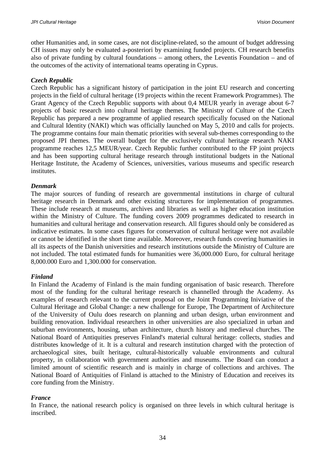other Humanities and, in some cases, are not discipline-related, so the amount of budget addressing CH issues may only be evaluated a-posteriori by examining funded projects. CH research benefits also of private funding by cultural foundations – among others, the Leventis Foundation – and of the outcomes of the activity of international teams operating in Cyprus.

### *Czech Republic*

Czech Republic has a significant history of participation in the joint EU research and concerting projects in the field of cultural heritage (19 projects within the recent Framework Programmes). The Grant Agency of the Czech Republic supports with about 0,4 MEUR yearly in average about 6-7 projects of basic research into cultural heritage themes. The Ministry of Culture of the Czech Republic has prepared a new programme of applied research specifically focused on the National and Cultural Identity (NAKI) which was officially launched on May 5, 2010 and calls for projects. The programme contains four main thematic priorities with several sub-themes corresponding to the proposed JPI themes. The overall budget for the exclusively cultural heritage research NAKI programme reaches 12,5 MEUR/year. Czech Republic further contributed to the FP joint projects and has been supporting cultural heritage research through institutional budgets in the National Heritage Institute, the Academy of Sciences, universities, various museums and specific research institutes.

### *Denmark*

The major sources of funding of research are governmental institutions in charge of cultural heritage research in Denmark and other existing structures for implementation of programmes. These include research at museums, archives and libraries as well as higher education institution within the Ministry of Culture. The funding covers 2009 programmes dedicated to research in humanities and cultural heritage and conservation research. All figures should only be considered as indicative estimates. In some cases figures for conservation of cultural heritage were not available or cannot be identified in the short time available. Moreover, research funds covering humanities in all its aspects of the Danish universities and research institutions outside the Ministry of Culture are not included. The total estimated funds for humanities were 36,000.000 Euro, for cultural heritage 8,000.000 Euro and 1,300.000 for conservation.

#### *Finland*

In Finland the Academy of Finland is the main funding organisation of basic research. Therefore most of the funding for the cultural heritage research is channelled through the Academy. As examples of research relevant to the current proposal on the Joint Programming Iniviative of the Cultural Heritage and Global Change: a new challenge for Europe, The Department of Architecture of the University of Oulu does research on planning and urban design, urban environment and building renovation. Individual researchers in other universities are also specialized in urban and suburban environments, housing, urban architecture, church history and medieval churches. The National Board of Antiquities preserves Finland's material cultural heritage: collects, studies and distributes knowledge of it. It is a cultural and research institution charged with the protection of archaeological sites, built heritage, cultural-historically valuable environments and cultural property, in collaboration with government authorities and museums. The Board can conduct a limited amount of scientific research and is mainly in charge of collections and archives. The National Board of Antiquities of Finland is attached to the Ministry of Education and receives its core funding from the Ministry.

#### *France*

In France, the national research policy is organised on three levels in which cultural heritage is inscribed.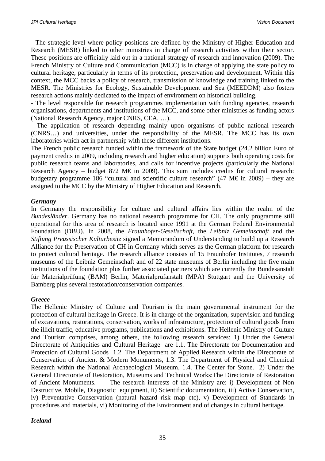- The strategic level where policy positions are defined by the Ministry of Higher Education and Research (MESR) linked to other ministries in charge of research activities within their sector. These positions are officially laid out in a national strategy of research and innovation (2009). The French Ministry of Culture and Communication (MCC) is in charge of applying the state policy to cultural heritage, particularly in terms of its protection, preservation and development. Within this context, the MCC backs a policy of research, transmission of knowledge and training linked to the MESR. The Ministries for Ecology, Sustainable Development and Sea (MEEDDM) also fosters research actions mainly dedicated to the impact of environment on historical building.

- The level responsible for research programmes implementation with funding agencies, research organisations, departments and institutions of the MCC, and some other ministries as funding actors (National Research Agency, major CNRS, CEA, …).

- The application of research depending mainly upon organisms of public national research (CNRS…) and universities, under the responsibility of the MESR. The MCC has its own laboratories which act in partnership with these different institutions.

The French public research funded within the framework of the State budget (24.2 billion Euro of payment credits in 2009, including research and higher education) supports both operating costs for public research teams and laboratories, and calls for incentive projects (particularly the National Research Agency – budget 872 M€ in 2009). This sum includes credits for cultural research: budgetary programme 186 "cultural and scientific culture research" (47 M $\epsilon$  in 2009) – they are assigned to the MCC by the Ministry of Higher Education and Research.

#### *Germany*

In Germany the responsibility for culture and cultural affairs lies within the realm of the *Bundesländer*. Germany has no national research programme for CH. The only programme still operational for this area of research is located since 1991 at the German Federal Environmental Foundation (DBU). In 2008, the *Fraunhofer-Gesellschaft*, the *Leibniz Gemeinschaft* and the *Stiftung Preussischer Kulturbesitz* signed a Memorandum of Understanding to build up a Research Alliance for the Preservation of CH in Germany which serves as the German platform for research to protect cultural heritage. The research alliance consists of 15 Fraunhofer Institutes, 7 research museums of the Leibniz Gemeinschaft and of 22 state museums of Berlin including the five main institutions of the foundation plus further associated partners which are currently the Bundesanstalt für Materialprüfung (BAM) Berlin, Materialprüfanstalt (MPA) Stuttgart and the University of Bamberg plus several restoration/conservation companies.

#### *Greece*

The Hellenic Ministry of Culture and Tourism is the main governmental instrument for the protection of cultural heritage in Greece. It is in charge of the organization, supervision and funding of excavations, restorations, conservation, works of infrastructure, protection of cultural goods from the illicit traffic, educative programs, publications and exhibitions. The Hellenic Ministry of Culture and Tourism comprises, among others, the following research services: 1) Under the General Directorate of Antiquities and Cultural Heritage are 1.1. The Directorate for Documentation and Protection of Cultural Goods 1.2. The Department of Applied Research within the Directorate of Conservation of Ancient & Modern Monuments, 1.3. The Department of Physical and Chemical Research within the National Archaeological Museum, 1.4. The Center for Stone. 2) Under the General Directorate of Restoration, Museums and Technical Works:The Directorate of Restoration of Ancient Monuments. The research interests of the Ministry are: i) Development of Non Destructive, Mobile, Diagnostic equipment, ii) Scientific documentation, iii) Active Conservation, iv) Preventative Conservation (natural hazard risk map etc), v) Development of Standards in procedures and materials, vi) Monitoring of the Environment and of changes in cultural heritage.

#### *Iceland*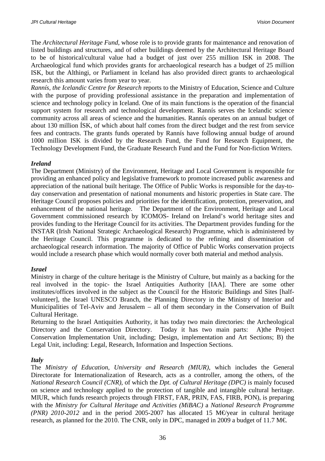The *Architectural Heritage Fund*, whose role is to provide grants for maintenance and renovation of listed buildings and structures, and of other buildings deemed by the Architectural Heritage Board to be of historical/cultural value had a budget of just over 255 million ISK in 2008. The Archaeological fund which provides grants for archaeological research has a budget of 25 million ISK, but the Althingi, or Parliament in Iceland has also provided direct grants to archaeological research this amount varies from year to year.

*Rannís, the Icelandic Centre for Research* reports to the Ministry of Education, Science and Culture with the purpose of providing professional assistance in the preparation and implementation of science and technology policy in Iceland. One of its main functions is the operation of the financial support system for research and technological development. Rannís serves the Icelandic science community across all areas of science and the humanities. Rannís operates on an annual budget of about 130 million ÍSK, of which about half comes from the direct budget and the rest from service fees and contracts. The grants funds operated by Rannís have following annual budge of around 1000 million ISK is divided by the Research Fund, the Fund for Research Equipment, the Technology Development Fund, the Graduate Research Fund and the Fund for Non-fiction Writers.

### *Ireland*

The Department (Ministry) of the Environment, Heritage and Local Government is responsible for providing an enhanced policy and legislative framework to promote increased public awareness and appreciation of the national built heritage. The Office of Public Works is responsible for the day-today conservation and presentation of national monuments and historic properties in State care. The Heritage Council proposes policies and priorities for the identification, protection, preservation, and enhancement of the national heritage. The Department of the Environment, Heritage and Local Government commissioned research by ICOMOS- Ireland on Ireland's world heritage sites and provides funding to the Heritage Council for its activities. The Department provides funding for the INSTAR (Irish National Strategic Archaeological Research) Programme, which is administered by the Heritage Council. This programme is dedicated to the refining and dissemination of archaeological research information. The majority of Office of Public Works conservation projects would include a research phase which would normally cover both material and method analysis.

### *Israel*

Ministry in charge of the culture heritage is the Ministry of Culture, but mainly as a backing for the real involved in the topic- the Israel Antiquities Authority [IAA]. There are some other institutes/offices involved in the subject as the Council for the Historic Buildings and Sites [halfvolunteer], the Israel UNESCO Branch, the Planning Directory in the Ministry of Interior and Municipalities of Tel-Aviv and Jerusalem – all of them secondary in the Conservation of Built Cultural Heritage.

Returning to the Israel Antiquities Authority, it has today two main directories: the Archeological Directory and the Conservation Directory. Today it has two main parts: A)the Project Conservation Implementation Unit, including; Design, implementation and Art Sections; B) the Legal Unit, including: Legal, Research, Information and Inspection Sections.

#### *Italy*

The *Ministry of Education, University and Research (MIUR)*, which includes the General Directorate for Internationalization of Research, acts as a controller, among the others, of the *National Research Council (CNR)*, of which the *Dpt. of Cultural Heritage (DPC)* is mainly focused on science and technology applied to the protection of tangible and intangible cultural heritage. MIUR, which funds research projects through FIRST, FAR, PRIN, FAS, FIRB, PON), is preparing with the *Ministry for Cultural Heritage and Activities (MiBAC)* a *National Research Programme (PNR)* 2010-2012 and in the period 2005-2007 has allocated 15 M  $\epsilon$ /year in cultural heritage research, as planned for the 2010. The CNR, only in DPC, managed in 2009 a budget of 11.7 M€.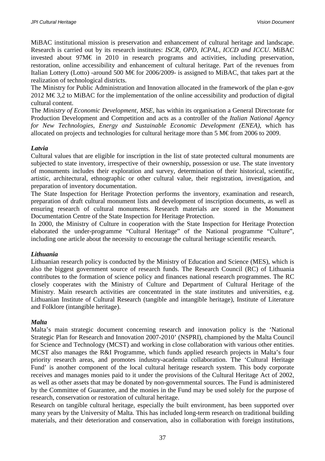MiBAC institutional mission is preservation and enhancement of cultural heritage and landscape. Research is carried out by its research institutes: *ISCR, OPD, ICPAL, ICCD and ICCU*. MiBAC invested about 97M€ in 2010 in research programs and activities, including preservation, restoration, online accessibility and enhancement of cultural heritage. Part of the revenues from Italian Lottery (Lotto) -around 500 M $\epsilon$  for 2006/2009- is assigned to MiBAC, that takes part at the realization of technological districts.

The Ministry for Public Administration and Innovation allocated in the framework of the plan e-gov 2012 M $\epsilon$  3,2 to MiBAC for the implementation of the online accessibility and production of digital cultural content.

The *Ministry of Economic Development, MSE*, has within its organisation a General Directorate for Production Development and Competition and acts as a controller of the *Italian National Agency for New Technologies, Energy and Sustainable Economic Development (ENEA)*, which has allocated on projects and technologies for cultural heritage more than  $5 M \epsilon$  from 2006 to 2009.

### *Latvia*

Cultural values that are eligible for inscription in the list of state protected cultural monuments are subjected to state inventory, irrespective of their ownership, possession or use. The state inventory of monuments includes their exploration and survey, determination of their historical, scientific, artistic, architectural, ethnographic or other cultural value, their registration, investigation, and preparation of inventory documentation.

The State Inspection for Heritage Protection performs the inventory, examination and research, preparation of draft cultural monument lists and development of inscription documents, as well as ensuring research of cultural monuments. Research materials are stored in the Monument Documentation Centre of the State Inspection for Heritage Protection.

In 2000, the Ministry of Culture in cooperation with the State Inspection for Heritage Protection elaborated the under-programme "Cultural Heritage" of the National programme "Culture", including one article about the necessity to encourage the cultural heritage scientific research.

### *Lithuania*

Lithuanian research policy is conducted by the Ministry of Education and Science (MES), which is also the biggest government source of research funds. The Research Council (RC) of Lithuania contributes to the formation of science policy and finances national research programmes. The RC closely cooperates with the Ministry of Culture and Department of Cultural Heritage of the Ministry. Main research activities are concentrated in the state institutes and universities, e.g. Lithuanian Institute of Cultural Research (tangible and intangible heritage), Institute of Literature and Folklore (intangible heritage).

### *Malta*

Malta's main strategic document concerning research and innovation policy is the 'National Strategic Plan for Research and Innovation 2007-2010' (NSPRI), championed by the Malta Council for Science and Technology (MCST) and working in close collaboration with various other entities. MCST also manages the R&I Programme, which funds applied research projects in Malta's four priority research areas, and promotes industry-academia collaboration. The 'Cultural Heritage Fund' is another component of the local cultural heritage research system. This body corporate receives and manages monies paid to it under the provisions of the Cultural Heritage Act of 2002, as well as other assets that may be donated by non-governmental sources. The Fund is administered by the Committee of Guarantee, and the monies in the Fund may be used solely for the purpose of research, conservation or restoration of cultural heritage.

Research on tangible cultural heritage, especially the built environment, has been supported over many years by the University of Malta. This has included long-term research on traditional building materials, and their deterioration and conservation, also in collaboration with foreign institutions,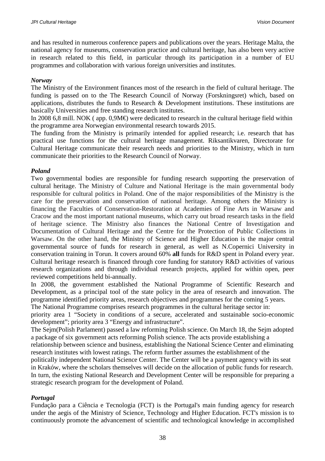and has resulted in numerous conference papers and publications over the years. Heritage Malta, the national agency for museums, conservation practice and cultural heritage, has also been very active in research related to this field, in particular through its participation in a number of EU programmes and collaboration with various foreign universities and institutes.

#### *Norway*

The Ministry of the Environment finances most of the research in the field of cultural heritage. The funding is passed on to the The Research Council of Norway (Forskningsret) which, based on applications, distributes the funds to Research & Development institutions. These institutions are basically Universities and free standing research institutes.

In 2008 6,8 mill. NOK (app. 0,9M $\epsilon$ ) were dedicated to research in the cultural heritage field within the programme area Norwegian environmental research towards 2015.

The funding from the Ministry is primarily intended for applied research; i.e. research that has practical use functions for the cultural heritage management. Riksantikvaren, Directorate for Cultural Heritage communicate their research needs and priorities to the Ministry, which in turn communicate their priorities to the Research Council of Norway.

### *Poland*

Two governmental bodies are responsible for funding research supporting the preservation of cultural heritage. The Ministry of Culture and National Heritage is the main governmental body responsible for cultural politics in Poland. One of the major responsibilities of the Ministry is the care for the preservation and conservation of national heritage. Among others the Ministry is financing the Faculties of Conservation-Restoration at Academies of Fine Arts in Warsaw and Cracow and the most important national museums, which carry out broad research tasks in the field of heritage science. The Ministry also finances the National Centre of Investigation and Documentation of Cultural Heritage and the Centre for the Protection of Public Collections in Warsaw. On the other hand, the Ministry of Science and Higher Education is the major central governmental source of funds for research in general, as well as N.Copernici University in conservation training in Torun. It covers around 60% **all** funds for R&D spent in Poland every year. Cultural heritage research is financed through core funding for statutory R&D activities of various research organizations and through individual research projects, applied for within open, peer reviewed competitions held bi-annually.

In 2008, the government established the National Programme of Scientific Research and Development, as a principal tool of the state policy in the area of research and innovation. The programme identified priority areas, research objectives and programmes for the coming 5 years.

The National Programme comprises research programmes in the cultural heritage sector in: priority area 1 "Society in conditions of a secure, accelerated and sustainable socio-economic development"; priority area 3 "Energy and infrastructure".

The Sejm(Polish Parlament) passed a law reforming Polish science. On March 18, the Sejm adopted a package of six government acts reforming Polish science. The acts provide establishing a

relationship between science and business, establishing the National Science Center and eliminating research institutes with lowest ratings. The reform further assumes the establishment of the

politically independent National Science Center. The Center will be a payment agency with its seat in Kraków, where the scholars themselves will decide on the allocation of public funds for research. In turn, the existing National Research and Development Center will be responsible for preparing a strategic research program for the development of Poland.

### *Portugal*

Fundação para a Ciência e Tecnologia (FCT) is the Portugal's main funding agency for research under the aegis of the Ministry of Science, Technology and Higher Education. FCT's mission is to continuously promote the advancement of scientific and technological knowledge in accomplished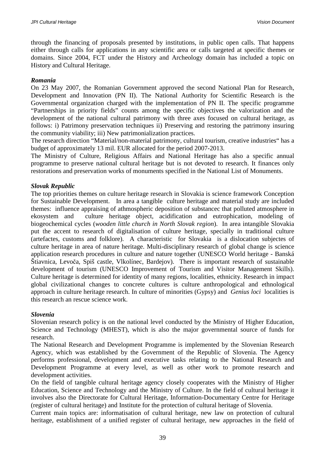through the financing of proposals presented by institutions, in public open calls. That happens either through calls for applications in any scientific area or calls targeted at specific themes or domains. Since 2004, FCT under the History and Archeology domain has included a topic on History and Cultural Heritage.

### *Romania*

On 23 May 2007, the Romanian Government approved the second National Plan for Research, Development and Innovation (PN II). The National Authority for Scientific Research is the Governmental organization charged with the implementation of PN II. The specific programme "Partnerships in priority fields" counts among the specific objectives the valorization and the development of the national cultural patrimony with three axes focused on cultural heritage, as follows: i) Patrimony preservation techniques ii) Preserving and restoring the patrimony insuring the community viability; iii) New patrimonialization practices.

The research direction "Material/non-material patrimony, cultural tourism, creative industries" has a budget of approximately 13 mil. EUR allocated for the period 2007-2013.

The Ministry of Culture, Religious Affairs and National Heritage has also a specific annual programme to preserve national cultural heritage but is not devoted to research. It finances only restorations and preservation works of monuments specified in the National List of Monuments.

### *Slovak Republic*

The top priorities themes on culture heritage research in Slovakia is science framework Conception for Sustainable Development. In area a tangible culture heritage and material study are included themes: influence appraising of athmospheric deposition of substancec that polluted atmosphere in ekosystem and culture heritage object, acidification and eutrophication, modeling of biogeochemical cycles (*wooden little church in North Slovak region*). In area intangible Slovakia put the accent to research of digitalisation of culture heritage, specially in traditional culture (artefactes, customs and folklore). A characteristic for Slovakia is a dislocation subjectes of culture heritage in area of nature heritage. Multi-disciplinary research of global change is science application research procedures in culture and nature together (UNESCO World heritage - Banská Štiavnica, Levoča, Spiš castle, Vlkolínec, Bardejov). There is important research of sustainable development of tourism (UNESCO Improvement of Tourism and Visitor Management Skills). Culture heritage is determined for identity of many regions, localities, ethnicity. Research in impact global civilizational changes to concrete cultures is culture anthropological and ethnological approach in culture heritage research. In culture of minorities (Gypsy) and *Genius loci* localities is this research an rescue science work.

#### *Slovenia*

Slovenian research policy is on the national level conducted by the Ministry of Higher Education, Science and Technology (MHEST), which is also the major governmental source of funds for research.

The National Research and Development Programme is implemented by the Slovenian Research Agency, which was established by the Government of the Republic of Slovenia. The Agency performs professional, development and executive tasks relating to the National Research and Development Programme at every level, as well as other work to promote research and development activities.

On the field of tangible cultural heritage agency closely cooperates with the Ministry of Higher Education, Science and Technology and the Ministry of Culture. In the field of cultural heritage it involves also the Directorate for Cultural Heritage, Information-Documentary Centre for Heritage (register of cultural heritage) and Institute for the protection of cultural heritage of Slovenia.

Current main topics are: informatisation of cultural heritage, new law on protection of cultural heritage, establishment of a unified register of cultural heritage, new approaches in the field of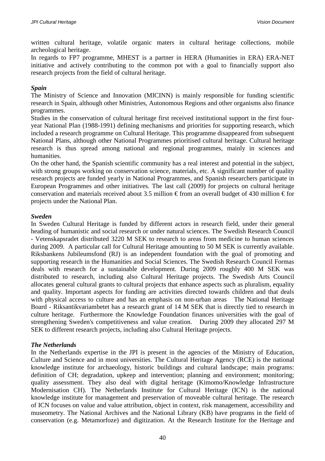written cultural heritage, volatile organic maters in cultural heritage collections, mobile archeological heritage.

In regards to FP7 programme, MHEST is a partner in HERA (Humanities in ERA) ERA-NET initiative and actively contributing to the common pot with a goal to financially support also research projects from the field of cultural heritage.

### *Spain*

The Ministry of Science and Innovation (MICINN) is mainly responsible for funding scientific research in Spain, although other Ministries, Autonomous Regions and other organisms also finance programmes.

Studies in the conservation of cultural heritage first received institutional support in the first fouryear National Plan (1988-1991) defining mechanisms and priorities for supporting research, which included a research programme on Cultural Heritage. This programme disappeared from subsequent National Plans, although other National Programmes prioritised cultural heritage. Cultural heritage research is thus spread among national and regional programmes, mainly in sciences and humanities.

On the other hand, the Spanish scientific community has a real interest and potential in the subject, with strong groups working on conservation science, materials, etc. A significant number of quality research projects are funded yearly in National Programmes, and Spanish researchers participate in European Programmes and other initiatives. The last call (2009) for projects on cultural heritage conservation and materials received about 3.5 million  $\epsilon$  from an overall budget of 430 million  $\epsilon$  for projects under the National Plan.

### *Sweden*

In Sweden Cultural Heritage is funded by different actors in research field, under their general heading of humanistic and social research or under natural sciences. The Swedish Research Council - Vetenskapsradet distributed 3220 M SEK to research to areas from medicine to human sciences during 2009. A particular call for Cultural Heritage amounting to 50 M SEK is currently available. Riksbankens Jubileumsfond (RJ) is an independent foundation with the goal of promoting and supporting research in the Humanities and Social Sciences. The Swedish Research Council Formas deals with research for a sustainable development. During 2009 roughly 400 M SEK was distributed to research, including also Cultural Heritage projects. The Swedish Arts Council allocates general cultural grants to cultural projects that enhance aspects such as pluralism, equality and quality. Important aspects for funding are activities directed towards children and that deals with physical access to culture and has an emphasis on non-urban areas The National Heritage Board - Riksantikvariambetet has a research grant of 14 M SEK that is directly tied to research in culture heritage. Furthermore the Knowledge Foundation finances universities with the goal of strengthening Sweden's competitiveness and value creation. During 2009 they allocated 297 M SEK to different research projects, including also Cultural Heritage projects.

### *The Netherlands*

In the Netherlands expertise in the JPI is present in the agencies of the Ministry of Education, Culture and Science and in most universities. The Cultural Heritage Agency (RCE) is the national knowledge institute for archaeology, historic buildings and cultural landscape; main programs: definition of CH; degradation, upkeep and intervention; planning and environment; monitoring; quality assessment. They also deal with digital heritage (Kimomo/Knowledge Infrastructure Modernisation CH). The Netherlands Institute for Cultural Heritage (ICN) is the national knowledge institute for management and preservation of moveable cultural heritage. The research of ICN focuses on value and value attribution, object in context, risk management, accessibility and museometry. The National Archives and the National Library (KB) have programs in the field of conservation (e.g. Metamorfoze) and digitization. At the Research Institute for the Heritage and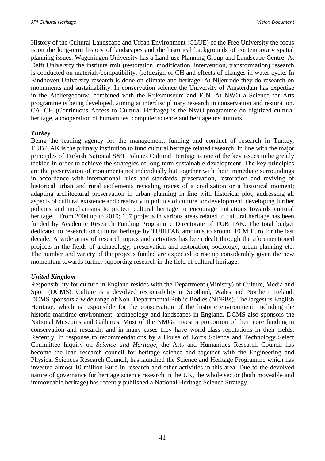History of the Cultural Landscape and Urban Environment (CLUE) of the Free University the focus is on the long-term history of landscapes and the historical backgrounds of contemporary spatial planning issues. Wageningen University has a Land-use Planning Group and Landscape Centre. At Delft University the institute rmit (restoration, modification, intervention, transformation) research is conducted on materials/compatibility, (re)design of CH and effects of changes in water cycle. In Eindhoven University research is done on climate and heritage. At Nijenrode they do research on monuments and sustainability. In conservation science the University of Amsterdam has expertise in the Ateliergebouw, combined with the Rijksmuseum and ICN. At NWO a Science for Arts programme is being developed, aiming at interdisciplinary research in conservation and restoration. CATCH (Continuous Access to Cultural Heritage) is the NWO-programme on digitized cultural heritage, a cooperation of humanities, computer science and heritage institutions.

### *Turkey*

Being the leading agency for the management, funding and conduct of research in Turkey, TUBITAK is the primary institution to fund cultural heritage related research. In line with the major principles of Turkish National S&T Policies Cultural Heritage is one of the key issues to be greatly tackled in order to achieve the strategies of long term sustainable development. The key principles are the preservation of monuments not individually but together with their immediate surroundings in accordance with international rules and standards; preservation, restoration and reviving of historical urban and rural settlements revealing traces of a civilization or a historical moment; adapting architectural preservation in urban planning in line with historical plot, addressing all aspects of cultural existence and creativity in politics of culture for development, developing further policies and mechanisms to protect cultural heritage to encourage initiations towards cultural heritage. From 2000 up to 2010; 137 projects in various areas related to cultural heritage has been funded by Academic Research Funding Programme Directorate of TUBITAK. The total budget dedicated to research on cultural heritage by TUBITAK amounts to around 10 M Euro for the last decade. A wide array of research topics and activities has been dealt through the aforementioned projects in the fields of archaeology, preservation and restoration, sociology, urban planning etc. The number and variety of the projects funded are expected to rise up considerably given the new momentum towards further supporting research in the field of cultural heritage.

#### *United Kingdom*

Responsibility for culture in England resides with the Department (Ministry) of Culture, Media and Sport (DCMS). Culture is a devolved responsibility in Scotland, Wales and Northern Ireland. DCMS sponsors a wide range of Non- Departmental Public Bodies (NDPBs). The largest is English Heritage, which is responsible for the conservation of the historic environment, including the historic maritime environment, archaeology and landscapes in England. DCMS also sponsors the National Museums and Galleries. Most of the NMGs invest a proportion of their core funding in conservation and research, and in many cases they have world-class reputations in their fields. Recently, in response to recommendations by a House of Lords Science and Technology Select Committee Inquiry on *Science and Heritage*, the Arts and Humanities Research Council has become the lead research council for heritage science and together with the Engineering and Physical Sciences Research Council, has launched the Science and Heritage Programme which has invested almost 10 million Euro in research and other activities in this area. Due to the devolved nature of governance for heritage science research in the UK, the whole sector (both moveable and immoveable heritage) has recently published a National Heritage Science Strategy.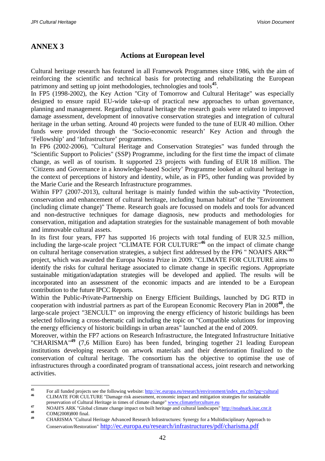# **ANNEX 3**

# **Actions at European level**

Cultural heritage research has featured in all Framework Programmes since 1986, with the aim of reinforcing the scientific and technical basis for protecting and rehabilitating the European patrimony and setting up joint methodologies, technologies and tools**<sup>45</sup>** .

In FP5 (1998-2002), the Key Action "City of Tomorrow and Cultural Heritage" was especially designed to ensure rapid EU-wide take-up of practical new approaches to urban governance, planning and management. Regarding cultural heritage the research goals were related to improved damage assessment, development of innovative conservation strategies and integration of cultural heritage in the urban setting. Around 40 projects were funded to the tune of EUR 40 million. Other funds were provided through the 'Socio-economic research' Key Action and through the 'Fellowship' and 'Infrastructure' programmes.

In FP6 (2002-2006), "Cultural Heritage and Conservation Strategies" was funded through the "Scientific Support to Policies" (SSP) Programme, including for the first time the impact of climate change, as well as of tourism. It supported 23 projects with funding of EUR 18 million. The 'Citizens and Governance in a knowledge-based Society' Programme looked at cultural heritage in the context of perceptions of history and identity, while, as in FP5, other funding was provided by the Marie Curie and the Research Infrastructure programmes.

Within FP7 (2007-2013), cultural heritage is mainly funded within the sub-activity "Protection, conservation and enhancement of cultural heritage, including human habitat" of the "Environment (including climate change)" Theme. Research goals are focussed on models and tools for advanced and non-destructive techniques for damage diagnosis, new products and methodologies for conservation, mitigation and adaptation strategies for the sustainable management of both movable and immovable cultural assets.

In its first four years, FP7 has supported 16 projects with total funding of EUR 32.5 million, including the large-scale project "CLIMATE FOR CULTURE"**<sup>46</sup>** on the impact of climate change on cultural heritage conservation strategies, a subject first addressed by the FP6 " NOAH'S ARK"**<sup>47</sup>** project, which was awarded the Europa Nostra Prize in 2009. "CLIMATE FOR CULTURE aims to identify the risks for cultural heritage associated to climate change in specific regions. Appropriate sustainable mitigation/adaptation strategies will be developed and applied. The results will be incorporated into an assessment of the economic impacts and are intended to be a European contribution to the future IPCC Reports.

Within the Public-Private-Partnership on Energy Efficient Buildings, launched by DG RTD in cooperation with industrial partners as part of the European Economic Recovery Plan in 2008**<sup>48</sup>**, the large-scale project "3ENCULT" on improving the energy efficiency of historic buildings has been selected following a cross-thematic call including the topic on "Compatible solutions for improving the energy efficiency of historic buildings in urban areas" launched at the end of 2009.

Moreover, within the FP7 actions on Research Infrastructure, the Integrated Infrastructure Initiative "CHARISMA"**<sup>49</sup>** (7,6 Million Euro) has been funded, bringing together 21 leading European institutions developing research on artwork materials and their deterioration finalized to the conservation of cultural heritage. The consortium has the objective to optimise the use of infrastructures through a coordinated program of transnational access, joint research and networking activities.

<sup>45</sup> <sup>45</sup> For all funded projects see the following website: http://ec.europa.eu/research/environment/index\_en.cfm?pg=cultural **<sup>46</sup>** CLIMATE FOR CULTURE "Damage risk assessment, economic impact and mitigation strategies for sustainable

preservation of Cultural Heritage in times of climate change" www.climateforculture.eu

**<sup>47</sup>** NOAH'S ARK "Global climate change impact on built heritage and cultural landscapes" http://noahsark.isac.cnr.it 48 COM(2008)800 final.

**<sup>49</sup>** CHARISMA "Cultural Heritage Advanced Research Infrastructures: Synergy for a Multidisciplinary Approach to Conservation/Restoration" http://ec.europa.eu/research/infrastructures/pdf/charisma.pdf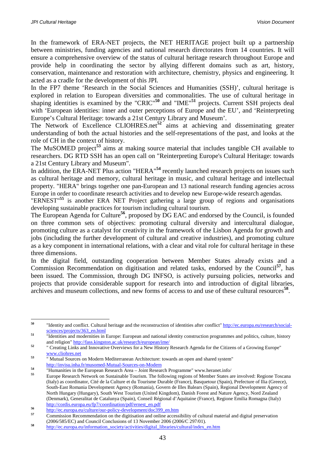$\overline{a}$ 

In the framework of ERA-NET projects, the NET HERITAGE project built up a partnership between ministries, funding agencies and national research directorates from 14 countries. It will ensure a comprehensive overview of the status of cultural heritage research throughout Europe and provide help in coordinating the sector by allying different domains such as art, history, conservation, maintenance and restoration with architecture, chemistry, physics and engineering. It acted as a cradle for the development of this JPI.

In the FP7 theme 'Research in the Social Sciences and Humanities (SSH)', cultural heritage is explored in relation to European diversities and commonalities. The use of cultural heritage in shaping identities is examined by the "CRIC"<sup>50</sup> and "IME"<sup>51</sup> projects. Current SSH projects deal with 'European identities: inner and outer perceptions of Europe and the EU', and 'Reinterpreting Europe's Cultural Heritage: towards a 21st Century Library and Museum'.

The Network of Excellence CLIOHRES.net**<sup>52</sup>** aims at achieving and disseminating greater understanding of both the actual histories and the self-representations of the past, and looks at the role of CH in the context of history.

The MuSOMED project<sup>53</sup> aims at making source material that includes tangible CH available to researchers. DG RTD SSH has an open call on "Reinterpreting Europe's Cultural Heritage: towards a 21st Century Library and Museum".

In addition, the ERA-NET Plus action "HERA"<sup>54</sup> recently launched research projects on issues such as cultural heritage and memory, cultural heritage in music, and cultural heritage and intellectual property. "HERA" brings together one pan-European and 13 national research funding agencies across Europe in order to coordinate research activities and to develop new Europe-wide research agendas.

"ERNEST"**<sup>55</sup>** is another ERA NET Project gathering a large group of regions and organisations developing sustainable practices for tourism including cultural tourism.

The European Agenda for Culture<sup>56</sup>, proposed by DG EAC and endorsed by the Council, is founded on three common sets of objectives: promoting cultural diversity and intercultural dialogue, promoting culture as a catalyst for creativity in the framework of the Lisbon Agenda for growth and jobs (including the further development of cultural and creative industries), and promoting culture as a key component in international relations, with a clear and vital role for cultural heritage in these three dimensions.

In the digital field, outstanding cooperation between Member States already exists and a Commission Recommendation on digitisation and related tasks, endorsed by the Council**<sup>57</sup>**, has been issued. The Commission, through DG INFSO, is actively pursuing policies, networks and projects that provide considerable support for research into and introduction of digital libraries, archives and museum collections, and new forms of access to and use of these cultural resources<sup>58</sup>.

<sup>&</sup>lt;sup>50</sup> "Identity and conflict. Cultural heritage and the reconstruction of identities after conflict" http://ec.europa.eu/research/socialsciences/projects/363\_en.html

<sup>&</sup>lt;sup>51</sup> "Identities and modernities in Europe: European and national identity construction programmes and politics, culture, history and religion" http://fass.kingston.ac.uk/research/european/ime/

<sup>&</sup>lt;sup>52</sup> " Creating Links and Innovative Overviews for a New History Research Agenda for the Citizens of a Growing Europe" www.cliohres.net

**<sup>53</sup>** " Mutual Sources on Modern Mediterranean Architecture: towards an open and shared system" http://invisu.inha.fr/musomed-Mutual-Sources-on-Modern

<sup>&</sup>lt;sup>54</sup> "Humanities in the European Research Area – Joint Research Programme" www.heranet.info/<br>
European Research Area – Research Area – Joint Research Programme " www.heranet.info/

**<sup>55</sup>** Europe Research Network on Sustainable Tourism. The following regions of Member States are involved: Regione Toscana (Italy) as coordinator, Cité de la Culture et du Tourisme Durable (France), Basquetour (Spain), Prefecture of Ilia (Greece), South-East Romania Development Agency (Romania), Govern de Illes Balears (Spain), Regional Development Agency of North Hungary (Hungary), South West Tourism (United Kingdom), Danish Forest and Nature Agency, Nord Zealand (Denmark), Generalitat de Catalunya (Spain), Conseil Régional d'Aquitaine (France), Regione Emilia Romagna (Italy) http://cordis.europa.eu/fp7/coordination/pdf/ernest\_en.pdf

**<sup>56</sup>** http://ec.europa.eu/culture/our-policy-development/doc399\_en.htm

**<sup>57</sup>** Commission Recommendation on the digitisation and online accessibility of cultural material and digital preservation (2006/585/EC) and Council Conclusions of 13 November 2006 (2006/C 297/01).

**<sup>58</sup>** http://ec.europa.eu/information\_society/activities/digital\_libraries/cultural/index\_en.htm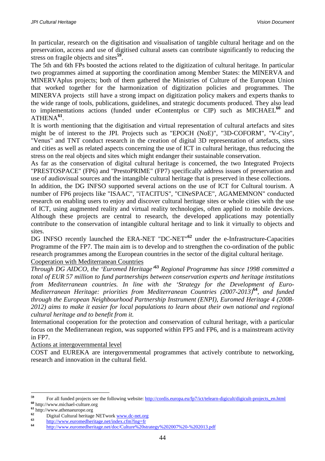In particular, research on the digitisation and visualisation of tangible cultural heritage and on the preservation, access and use of digitised cultural assets can contribute significantly to reducing the stress on fragile objects and sites**<sup>59</sup>** .

The 5th and 6th FPs boosted the actions related to the digitization of cultural heritage. In particular two programmes aimed at supporting the coordination among Member States: the MINERVA and MINERVAplus projects; both of them gathered the Ministries of Culture of the European Union that worked together for the harmonization of digitization policies and programmes. The MINERVA projects still have a strong impact on digitization policy makers and experts thanks to the wide range of tools, publications, guidelines, and strategic documents produced. They also lead to implementations actions (funded under eContentplus or CIP) such as MICHAEL**<sup>60</sup>** and ATHENA**<sup>61</sup>** .

It is worth mentioning that the digitisation and virtual representation of cultural artefacts and sites might be of interest to the JPI. Projects such as "EPOCH (NoE)", "3D-COFORM", "V-City", "Venus" and TNT conduct research in the creation of digital 3D representation of artefacts, sites and cities as well as related aspects concerning the use of ICT in cultural heritage, thus reducing the stress on the real objects and sites which might endanger their sustainable conservation.

As far as the conservation of digital cultural heritage is concerned, the two Integrated Projects "PRESTOSPACE" (FP6) and "PrestoPRIME" (FP7) specifically address issues of preservation and use of audiovisual sources and the intangible cultural heritage that is preserved in these collections.

In addition, the DG INFSO supported several actions on the use of ICT for Cultural tourism. A number of FP6 projects like "ISAAC", "iTACITUS", "CINeSPACE", AGAMEMNON" conducted research on enabling users to enjoy and discover cultural heritage sites or whole cities with the use of ICT, using augmented reality and virtual reality technologies, often applied to mobile devices. Although these projects are central to research, the developed applications may potentially contribute to the conservation of intangible cultural heritage and to link it virtually to objects and sites.

DG INFSO recently launched the ERA-NET "DC-NET"**<sup>62</sup>** under the e-Infrastructure-Capacities Programme of the FP7. The main aim is to develop and to strengthen the co-ordination of the public research programmes among the European countries in the sector of the digital cultural heritage. Cooperation with Mediterranean Countries

*Through DG AIDCO, the 'Euromed Heritage'***<sup>63</sup>** *Regional Programme has since 1998 committed a total of EUR 57 million to fund partnerships between conservation experts and heritage institutions from Mediterranean countries. In line with the 'Strategy for the Development of Euro-Mediterranean Heritage: priorities from Mediterranean Countries (2007-2013)***<sup>64</sup>***, and funded through the European Neighbourhood Partnership Instrument (ENPI), Euromed Heritage 4 (2008- 2012) aims to make it easier for local populations to learn about their own national and regional cultural heritage and to benefit from it.* 

International cooperation for the protection and conservation of cultural heritage, with a particular focus on the Mediterranean region, was supported within FP5 and FP6, and is a mainstream activity in FP7.

Actions at intergovernmental level

COST and EUREKA are intergovernmental programmes that actively contribute to networking, research and innovation in the cultural field.

<sup>61</sup> http://www.athenaeurope.org

<sup>59</sup> **<sup>59</sup>** For all funded projects see the following website: http://cordis.europa.eu/fp7/ict/telearn-digicult/digicult-projects\_en.html **<sup>60</sup>** http://www.michael-culture.org

**<sup>62</sup>** Digital Cultural heritage NETwork www.dc-net.org

 $\frac{63}{64}$  http://www.euromedheritage.net/index.cfm?lng=fr

**<sup>64</sup>** http://www.euromedheritage.net/doc/Culture%20strategy%202007%20-%202013.pdf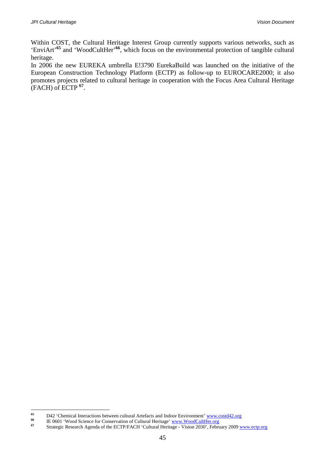Within COST, the Cultural Heritage Interest Group currently supports various networks, such as 'EnviArt'**<sup>65</sup>** and 'WoodCultHer'**<sup>66</sup>**, which focus on the environmental protection of tangible cultural heritage.

In 2006 the new EUREKA umbrella E!3790 EurekaBuild was launched on the initiative of the European Construction Technology Platform (ECTP) as follow-up to EUROCARE2000; it also promotes projects related to cultural heritage in cooperation with the Focus Area Cultural Heritage (FACH) of ECTP **<sup>67</sup>** .

<sup>65</sup> **<sup>65</sup>** D42 'Chemical Interactions between cultural Artefacts and Indoor Environment' www.costd42.org

**<sup>66</sup>** IE 0601 'Wood Science for Conservation of Cultural Heritage' www.WoodCultHer.org<br> **67** Strategic Because Agenda of the ECTD/EACH 'Cultural Heritage, Vision 2020', Eshm

**<sup>67</sup>** Strategic Research Agenda of the ECTP/FACH 'Cultural Heritage - Vision 2030', February 2009 www.ectp.org